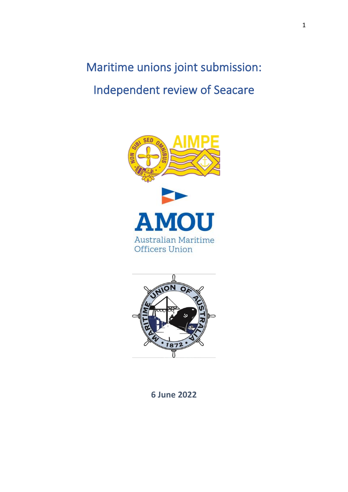# Maritime unions joint submission: Independent review of Seacare





**6 June 2022**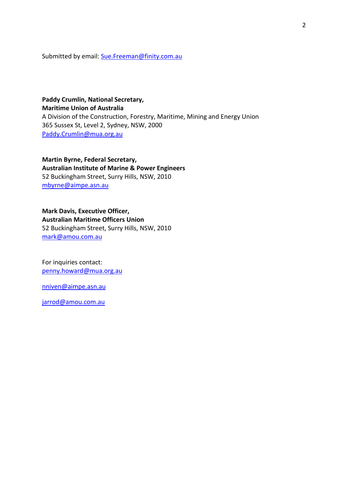Submitted by email: [Sue.Freeman@finity.com.au](mailto:Sue.Freeman@finity.com.au)

**Paddy Crumlin, National Secretary, Maritime Union of Australia** A Division of the Construction, Forestry, Maritime, Mining and Energy Union 365 Sussex St, Level 2, Sydney, NSW, 2000 Paddy.Crumli[n@mua.org.au](mailto:Will.tracey@mua.org.au)

**Martin Byrne, Federal Secretary, Australian Institute of Marine & Power Engineers** 52 Buckingham Street, Surry Hills, NSW, 2010 [mbyrne@aimpe.asn.au](mailto:mbyrne@aimpe.asn.au)

**Mark Davis, Executive Officer, Australian Maritime Officers Union** 52 Buckingham Street, Surry Hills, NSW, 2010 [mark@amou.com.au](mailto:mark@amou.com.au)

For inquiries contact: [penny.howard@mua.org.au](mailto:penny.howard@mua.org.au)

[nniven@aimpe.asn.au](mailto:nniven@aimpe.asn.au)

[jarrod@amou.com.au](mailto:jarrod@amou.com.au)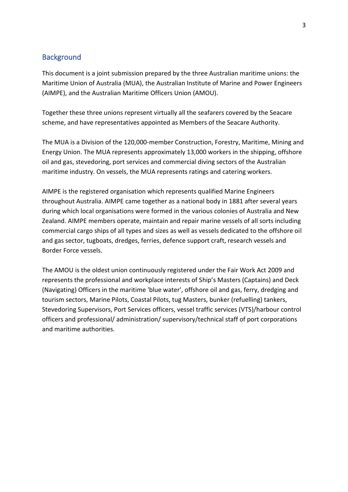## **Background**

This document is a joint submission prepared by the three Australian maritime unions: the Maritime Union of Australia (MUA), the Australian Institute of Marine and Power Engineers (AIMPE), and the Australian Maritime Officers Union (AMOU).

Together these three unions represent virtually all the seafarers covered by the Seacare scheme, and have representatives appointed as Members of the Seacare Authority.

The MUA is a Division of the 120,000-member Construction, Forestry, Maritime, Mining and Energy Union. The MUA represents approximately 13,000 workers in the shipping, offshore oil and gas, stevedoring, port services and commercial diving sectors of the Australian maritime industry. On vessels, the MUA represents ratings and catering workers.

AIMPE is the registered organisation which represents qualified Marine Engineers throughout Australia. AIMPE came together as a national body in 1881 after several years during which local organisations were formed in the various colonies of Australia and New Zealand. AIMPE members operate, maintain and repair marine vessels of all sorts including commercial cargo ships of all types and sizes as well as vessels dedicated to the offshore oil and gas sector, tugboats, dredges, ferries, defence support craft, research vessels and Border Force vessels.

The AMOU is the oldest union continuously registered under the Fair Work Act 2009 and represents the professional and workplace interests of Ship's Masters (Captains) and Deck (Navigating) Officers in the maritime 'blue water', offshore oil and gas, ferry, dredging and tourism sectors, Marine Pilots, Coastal Pilots, tug Masters, bunker (refuelling) tankers, Stevedoring Supervisors, Port Services officers, vessel traffic services (VTS)/harbour control officers and professional/ administration/ supervisory/technical staff of port corporations and maritime authorities.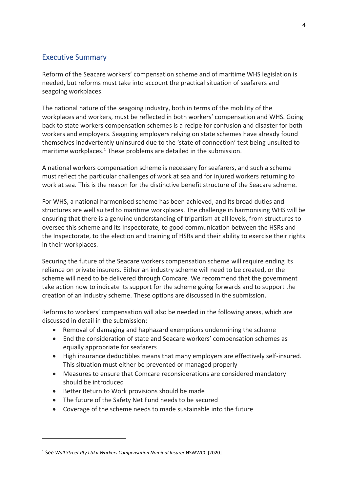# Executive Summary

Reform of the Seacare workers' compensation scheme and of maritime WHS legislation is needed, but reforms must take into account the practical situation of seafarers and seagoing workplaces.

The national nature of the seagoing industry, both in terms of the mobility of the workplaces and workers, must be reflected in both workers' compensation and WHS. Going back to state workers compensation schemes is a recipe for confusion and disaster for both workers and employers. Seagoing employers relying on state schemes have already found themselves inadvertently uninsured due to the 'state of connection' test being unsuited to maritime workplaces.<sup>1</sup> These problems are detailed in the submission.

A national workers compensation scheme is necessary for seafarers, and such a scheme must reflect the particular challenges of work at sea and for injured workers returning to work at sea. This is the reason for the distinctive benefit structure of the Seacare scheme.

For WHS, a national harmonised scheme has been achieved, and its broad duties and structures are well suited to maritime workplaces. The challenge in harmonising WHS will be ensuring that there is a genuine understanding of tripartism at all levels, from structures to oversee this scheme and its Inspectorate, to good communication between the HSRs and the Inspectorate, to the election and training of HSRs and their ability to exercise their rights in their workplaces.

Securing the future of the Seacare workers compensation scheme will require ending its reliance on private insurers. Either an industry scheme will need to be created, or the scheme will need to be delivered through Comcare. We recommend that the government take action now to indicate its support for the scheme going forwards and to support the creation of an industry scheme. These options are discussed in the submission.

Reforms to workers' compensation will also be needed in the following areas, which are discussed in detail in the submission:

- Removal of damaging and haphazard exemptions undermining the scheme
- End the consideration of state and Seacare workers' compensation schemes as equally appropriate for seafarers
- High insurance deductibles means that many employers are effectively self-insured. This situation must either be prevented or managed properly
- Measures to ensure that Comcare reconsiderations are considered mandatory should be introduced
- Better Return to Work provisions should be made
- The future of the Safety Net Fund needs to be secured
- Coverage of the scheme needs to made sustainable into the future

<sup>&</sup>lt;sup>1</sup> See Wall Street Pty Ltd v Workers Compensation Nominal Insurer NSWWCC [2020]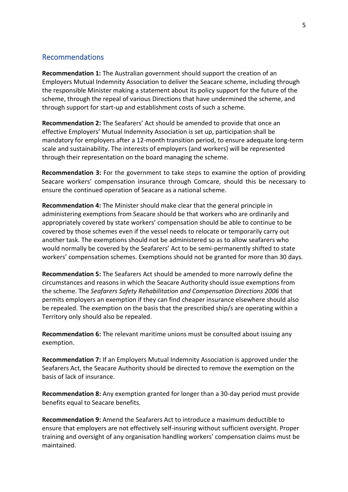## Recommendations

**Recommendation 1:** The Australian government should support the creation of an Employers Mutual Indemnity Association to deliver the Seacare scheme, including through the responsible Minister making a statement about its policy support for the future of the scheme, through the repeal of various Directions that have undermined the scheme, and through support for start-up and establishment costs of such a scheme.

**Recommendation 2:** The Seafarers' Act should be amended to provide that once an effective Employers' Mutual Indemnity Association is set up, participation shall be mandatory for employers after a 12-month transition period, to ensure adequate long-term scale and sustainability. The interests of employers (and workers) will be represented through their representation on the board managing the scheme.

**Recommendation 3:** For the government to take steps to examine the option of providing Seacare workers' compensation insurance through Comcare, should this be necessary to ensure the continued operation of Seacare as a national scheme.

**Recommendation 4:** The Minister should make clear that the general principle in administering exemptions from Seacare should be that workers who are ordinarily and appropriately covered by state workers' compensation should be able to continue to be covered by those schemes even if the vessel needs to relocate or temporarily carry out another task. The exemptions should not be administered so as to allow seafarers who would normally be covered by the Seafarers' Act to be semi-permanently shifted to state workers' compensation schemes. Exemptions should not be granted for more than 30 days.

**Recommendation 5:** The Seafarers Act should be amended to more narrowly define the circumstances and reasons in which the Seacare Authority should issue exemptions from the scheme. The *Seafarers Safety Rehabilitation and Compensation Directions 2006* that permits employers an exemption if they can find cheaper insurance elsewhere should also be repealed. The exemption on the basis that the prescribed ship/s are operating within a Territory only should also be repealed.

**Recommendation 6:** The relevant maritime unions must be consulted about issuing any exemption.

**Recommendation 7:** If an Employers Mutual Indemnity Association is approved under the Seafarers Act, the Seacare Authority should be directed to remove the exemption on the basis of lack of insurance.

**Recommendation 8:** Any exemption granted for longer than a 30-day period must provide benefits equal to Seacare benefits.

**Recommendation 9:** Amend the Seafarers Act to introduce a maximum deductible to ensure that employers are not effectively self-insuring without sufficient oversight. Proper training and oversight of any organisation handling workers' compensation claims must be maintained.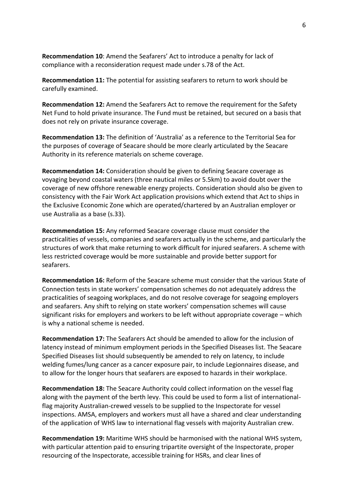**Recommendation 10**: Amend the Seafarers' Act to introduce a penalty for lack of compliance with a reconsideration request made under s.78 of the Act.

**Recommendation 11:** The potential for assisting seafarers to return to work should be carefully examined.

**Recommendation 12:** Amend the Seafarers Act to remove the requirement for the Safety Net Fund to hold private insurance. The Fund must be retained, but secured on a basis that does not rely on private insurance coverage.

**Recommendation 13:** The definition of 'Australia' as a reference to the Territorial Sea for the purposes of coverage of Seacare should be more clearly articulated by the Seacare Authority in its reference materials on scheme coverage.

**Recommendation 14:** Consideration should be given to defining Seacare coverage as voyaging beyond coastal waters (three nautical miles or 5.5km) to avoid doubt over the coverage of new offshore renewable energy projects. Consideration should also be given to consistency with the Fair Work Act application provisions which extend that Act to ships in the Exclusive Economic Zone which are operated/chartered by an Australian employer or use Australia as a base (s.33).

**Recommendation 15:** Any reformed Seacare coverage clause must consider the practicalities of vessels, companies and seafarers actually in the scheme, and particularly the structures of work that make returning to work difficult for injured seafarers. A scheme with less restricted coverage would be more sustainable and provide better support for seafarers.

**Recommendation 16:** Reform of the Seacare scheme must consider that the various State of Connection tests in state workers' compensation schemes do not adequately address the practicalities of seagoing workplaces, and do not resolve coverage for seagoing employers and seafarers. Any shift to relying on state workers' compensation schemes will cause significant risks for employers and workers to be left without appropriate coverage – which is why a national scheme is needed.

**Recommendation 17:** The Seafarers Act should be amended to allow for the inclusion of latency instead of minimum employment periods in the Specified Diseases list. The Seacare Specified Diseases list should subsequently be amended to rely on latency, to include welding fumes/lung cancer as a cancer exposure pair, to include Legionnaires disease, and to allow for the longer hours that seafarers are exposed to hazards in their workplace.

**Recommendation 18:** The Seacare Authority could collect information on the vessel flag along with the payment of the berth levy. This could be used to form a list of internationalflag majority Australian-crewed vessels to be supplied to the Inspectorate for vessel inspections. AMSA, employers and workers must all have a shared and clear understanding of the application of WHS law to international flag vessels with majority Australian crew.

**Recommendation 19:** Maritime WHS should be harmonised with the national WHS system, with particular attention paid to ensuring tripartite oversight of the Inspectorate, proper resourcing of the Inspectorate, accessible training for HSRs, and clear lines of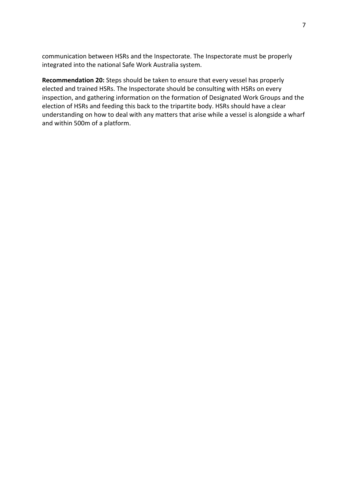communication between HSRs and the Inspectorate. The Inspectorate must be properly integrated into the national Safe Work Australia system.

**Recommendation 20:** Steps should be taken to ensure that every vessel has properly elected and trained HSRs. The Inspectorate should be consulting with HSRs on every inspection, and gathering information on the formation of Designated Work Groups and the election of HSRs and feeding this back to the tripartite body. HSRs should have a clear understanding on how to deal with any matters that arise while a vessel is alongside a wharf and within 500m of a platform.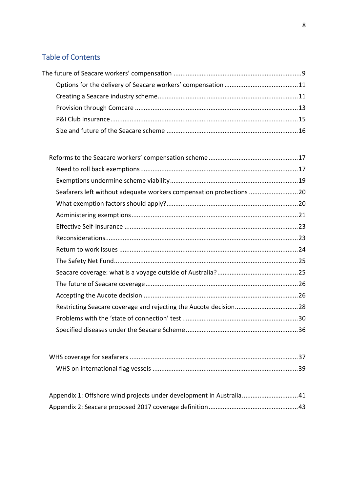# Table of Contents

| Seafarers left without adequate workers compensation protections 20 |  |
|---------------------------------------------------------------------|--|
|                                                                     |  |
|                                                                     |  |
|                                                                     |  |
|                                                                     |  |
|                                                                     |  |
|                                                                     |  |
|                                                                     |  |
|                                                                     |  |
|                                                                     |  |
|                                                                     |  |
|                                                                     |  |
|                                                                     |  |
|                                                                     |  |

| Appendix 1: Offshore wind projects under development in Australia41 |  |
|---------------------------------------------------------------------|--|
|                                                                     |  |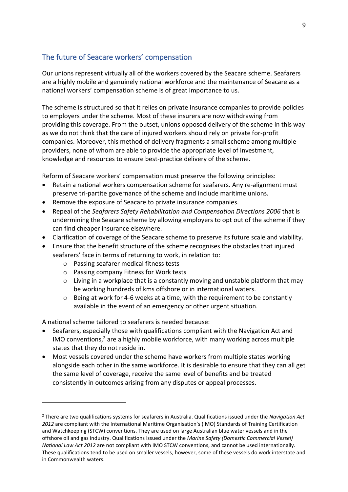## <span id="page-8-0"></span>The future of Seacare workers' compensation

Our unions represent virtually all of the workers covered by the Seacare scheme. Seafarers are a highly mobile and genuinely national workforce and the maintenance of Seacare as a national workers' compensation scheme is of great importance to us.

The scheme is structured so that it relies on private insurance companies to provide policies to employers under the scheme. Most of these insurers are now withdrawing from providing this coverage. From the outset, unions opposed delivery of the scheme in this way as we do not think that the care of injured workers should rely on private for-profit companies. Moreover, this method of delivery fragments a small scheme among multiple providers, none of whom are able to provide the appropriate level of investment, knowledge and resources to ensure best-practice delivery of the scheme.

Reform of Seacare workers' compensation must preserve the following principles:

- Retain a national workers compensation scheme for seafarers. Any re-alignment must preserve tri-partite governance of the scheme and include maritime unions.
- Remove the exposure of Seacare to private insurance companies.
- Repeal of the *Seafarers Safety Rehabilitation and Compensation Directions 2006* that is undermining the Seacare scheme by allowing employers to opt out of the scheme if they can find cheaper insurance elsewhere.
- Clarification of coverage of the Seacare scheme to preserve its future scale and viability.
- Ensure that the benefit structure of the scheme recognises the obstacles that injured seafarers' face in terms of returning to work, in relation to:
	- o Passing seafarer medical fitness tests
	- o Passing company Fitness for Work tests
	- o Living in a workplace that is a constantly moving and unstable platform that may be working hundreds of kms offshore or in international waters.
	- o Being at work for 4-6 weeks at a time, with the requirement to be constantly available in the event of an emergency or other urgent situation.

A national scheme tailored to seafarers is needed because:

- Seafarers, especially those with qualifications compliant with the Navigation Act and IMO conventions,<sup>2</sup> are a highly mobile workforce, with many working across multiple states that they do not reside in.
- Most vessels covered under the scheme have workers from multiple states working alongside each other in the same workforce. It is desirable to ensure that they can all get the same level of coverage, receive the same level of benefits and be treated consistently in outcomes arising from any disputes or appeal processes.

<sup>2</sup> There are two qualifications systems for seafarers in Australia. Qualifications issued under the *Navigation Act 2012* are compliant with the International Maritime Organisation's (IMO) Standards of Training Certification and Watchkeeping (STCW) conventions. They are used on large Australian blue water vessels and in the offshore oil and gas industry. Qualifications issued under the *Marine Safety (Domestic Commercial Vessel) National Law Act 2012* are not compliant with IMO STCW conventions, and cannot be used internationally. These qualifications tend to be used on smaller vessels, however, some of these vessels do work interstate and in Commonwealth waters.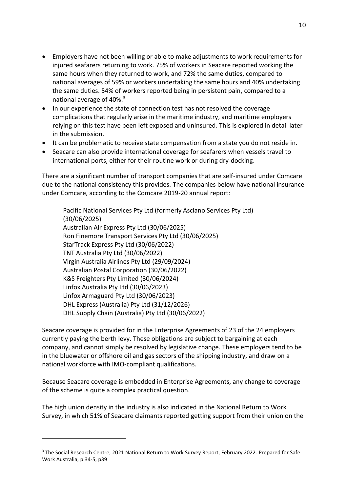- Employers have not been willing or able to make adjustments to work requirements for injured seafarers returning to work. 75% of workers in Seacare reported working the same hours when they returned to work, and 72% the same duties, compared to national averages of 59% or workers undertaking the same hours and 40% undertaking the same duties. 54% of workers reported being in persistent pain, compared to a national average of 40%.<sup>3</sup>
- In our experience the state of connection test has not resolved the coverage complications that regularly arise in the maritime industry, and maritime employers relying on this test have been left exposed and uninsured. This is explored in detail later in the submission.
- It can be problematic to receive state compensation from a state you do not reside in.
- Seacare can also provide international coverage for seafarers when vessels travel to international ports, either for their routine work or during dry-docking.

There are a significant number of transport companies that are self-insured under Comcare due to the national consistency this provides. The companies below have national insurance under Comcare, according to the Comcare 2019-20 annual report:

Pacific National Services Pty Ltd (formerly Asciano Services Pty Ltd) (30/06/2025) Australian Air Express Pty Ltd (30/06/2025) Ron Finemore Transport Services Pty Ltd (30/06/2025) StarTrack Express Pty Ltd (30/06/2022) TNT Australia Pty Ltd (30/06/2022) Virgin Australia Airlines Pty Ltd (29/09/2024) Australian Postal Corporation (30/06/2022) K&S Freighters Pty Limited (30/06/2024) Linfox Australia Pty Ltd (30/06/2023) Linfox Armaguard Pty Ltd (30/06/2023) DHL Express (Australia) Pty Ltd (31/12/2026) DHL Supply Chain (Australia) Pty Ltd (30/06/2022)

Seacare coverage is provided for in the Enterprise Agreements of 23 of the 24 employers currently paying the berth levy. These obligations are subject to bargaining at each company, and cannot simply be resolved by legislative change. These employers tend to be in the bluewater or offshore oil and gas sectors of the shipping industry, and draw on a national workforce with IMO-compliant qualifications.

Because Seacare coverage is embedded in Enterprise Agreements, any change to coverage of the scheme is quite a complex practical question.

The high union density in the industry is also indicated in the National Return to Work Survey, in which 51% of Seacare claimants reported getting support from their union on the

<sup>&</sup>lt;sup>3</sup> The Social Research Centre, 2021 National Return to Work Survey Report, February 2022. Prepared for Safe Work Australia, p.34-5, p39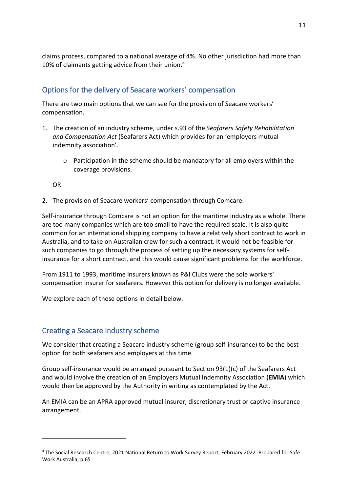claims process, compared to a national average of 4%. No other jurisdiction had more than 10% of claimants getting advice from their union. 4

## <span id="page-10-0"></span>Options for the delivery of Seacare workers' compensation

There are two main options that we can see for the provision of Seacare workers' compensation.

- 1. The creation of an industry scheme, under s.93 of the *Seafarers Safety Rehabilitation and Compensation Act* (Seafarers Act) which provides for an 'employers mutual indemnity association'.
	- $\circ$  Participation in the scheme should be mandatory for all employers within the coverage provisions.

OR

2. The provision of Seacare workers' compensation through Comcare.

Self-insurance through Comcare is not an option for the maritime industry as a whole. There are too many companies which are too small to have the required scale. It is also quite common for an international shipping company to have a relatively short contract to work in Australia, and to take on Australian crew for such a contract. It would not be feasible for such companies to go through the process of setting up the necessary systems for selfinsurance for a short contract, and this would cause significant problems for the workforce.

From 1911 to 1993, maritime insurers known as P&I Clubs were the sole workers' compensation insurer for seafarers. However this option for delivery is no longer available.

We explore each of these options in detail below.

## <span id="page-10-1"></span>Creating a Seacare industry scheme

We consider that creating a Seacare industry scheme (group self-insurance) to be the best option for both seafarers and employers at this time.

Group self-insurance would be arranged pursuant to Section 93(1)(c) of the Seafarers Act and would involve the creation of an Employers Mutual Indemnity Association (**EMIA**) which would then be approved by the Authority in writing as contemplated by the Act.

An EMIA can be an APRA approved mutual insurer, discretionary trust or captive insurance arrangement.

<sup>4</sup> The Social Research Centre, 2021 National Return to Work Survey Report, February 2022. Prepared for Safe Work Australia, p.65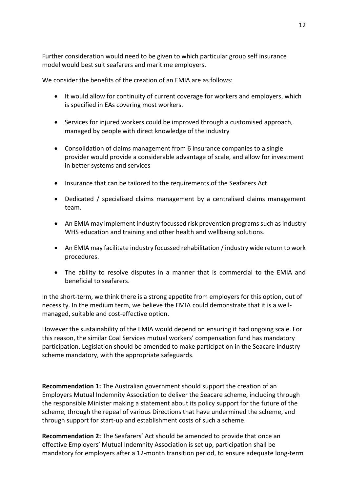Further consideration would need to be given to which particular group self insurance model would best suit seafarers and maritime employers.

We consider the benefits of the creation of an EMIA are as follows:

- It would allow for continuity of current coverage for workers and employers, which is specified in EAs covering most workers.
- Services for injured workers could be improved through a customised approach, managed by people with direct knowledge of the industry
- Consolidation of claims management from 6 insurance companies to a single provider would provide a considerable advantage of scale, and allow for investment in better systems and services
- Insurance that can be tailored to the requirements of the Seafarers Act.
- Dedicated / specialised claims management by a centralised claims management team.
- An EMIA may implement industry focussed risk prevention programs such as industry WHS education and training and other health and wellbeing solutions.
- An EMIA may facilitate industry focussed rehabilitation / industry wide return to work procedures.
- The ability to resolve disputes in a manner that is commercial to the EMIA and beneficial to seafarers.

In the short-term, we think there is a strong appetite from employers for this option, out of necessity. In the medium term, we believe the EMIA could demonstrate that it is a wellmanaged, suitable and cost-effective option.

However the sustainability of the EMIA would depend on ensuring it had ongoing scale. For this reason, the similar Coal Services mutual workers' compensation fund has mandatory participation. Legislation should be amended to make participation in the Seacare industry scheme mandatory, with the appropriate safeguards.

**Recommendation 1:** The Australian government should support the creation of an Employers Mutual Indemnity Association to deliver the Seacare scheme, including through the responsible Minister making a statement about its policy support for the future of the scheme, through the repeal of various Directions that have undermined the scheme, and through support for start-up and establishment costs of such a scheme.

**Recommendation 2:** The Seafarers' Act should be amended to provide that once an effective Employers' Mutual Indemnity Association is set up, participation shall be mandatory for employers after a 12-month transition period, to ensure adequate long-term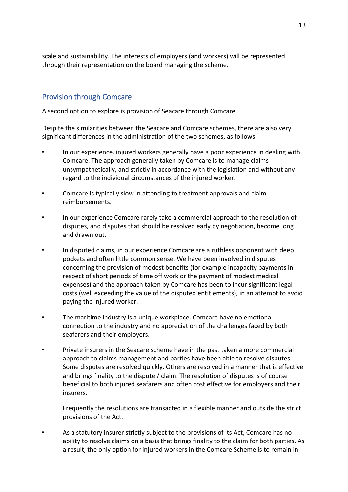scale and sustainability. The interests of employers (and workers) will be represented through their representation on the board managing the scheme.

## <span id="page-12-0"></span>Provision through Comcare

A second option to explore is provision of Seacare through Comcare.

Despite the similarities between the Seacare and Comcare schemes, there are also very significant differences in the administration of the two schemes, as follows:

- In our experience, injured workers generally have a poor experience in dealing with Comcare. The approach generally taken by Comcare is to manage claims unsympathetically, and strictly in accordance with the legislation and without any regard to the individual circumstances of the injured worker.
- Comcare is typically slow in attending to treatment approvals and claim reimbursements.
- In our experience Comcare rarely take a commercial approach to the resolution of disputes, and disputes that should be resolved early by negotiation, become long and drawn out.
- In disputed claims, in our experience Comcare are a ruthless opponent with deep pockets and often little common sense. We have been involved in disputes concerning the provision of modest benefits (for example incapacity payments in respect of short periods of time off work or the payment of modest medical expenses) and the approach taken by Comcare has been to incur significant legal costs (well exceeding the value of the disputed entitlements), in an attempt to avoid paying the injured worker.
- The maritime industry is a unique workplace. Comcare have no emotional connection to the industry and no appreciation of the challenges faced by both seafarers and their employers.
- Private insurers in the Seacare scheme have in the past taken a more commercial approach to claims management and parties have been able to resolve disputes. Some disputes are resolved quickly. Others are resolved in a manner that is effective and brings finality to the dispute / claim. The resolution of disputes is of course beneficial to both injured seafarers and often cost effective for employers and their insurers.

Frequently the resolutions are transacted in a flexible manner and outside the strict provisions of the Act.

• As a statutory insurer strictly subject to the provisions of its Act, Comcare has no ability to resolve claims on a basis that brings finality to the claim for both parties. As a result, the only option for injured workers in the Comcare Scheme is to remain in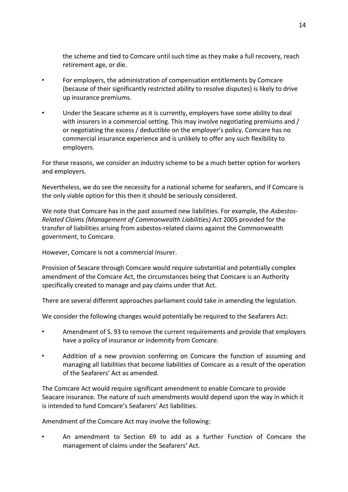the scheme and tied to Comcare until such time as they make a full recovery, reach retirement age, or die.

- For employers, the administration of compensation entitlements by Comcare (because of their significantly restricted ability to resolve disputes) is likely to drive up insurance premiums.
- Under the Seacare scheme as it is currently, employers have some ability to deal with insurers in a commercial setting. This may involve negotiating premiums and / or negotiating the excess / deductible on the employer's policy. Comcare has no commercial insurance experience and is unlikely to offer any such flexibility to employers.

For these reasons, we consider an industry scheme to be a much better option for workers and employers.

Nevertheless, we do see the necessity for a national scheme for seafarers, and if Comcare is the only viable option for this then it should be seriously considered.

We note that Comcare has in the past assumed new liabilities. For example, the *Asbestos-Related Claims (Management of Commonwealth Liabilities) Act* 2005 provided for the transfer of liabilities arising from asbestos-related claims against the Commonwealth government, to Comcare.

However, Comcare is not a commercial insurer.

Provision of Seacare through Comcare would require substantial and potentially complex amendment of the Comcare Act, the circumstances being that Comcare is an Authority specifically created to manage and pay claims under that Act.

There are several different approaches parliament could take in amending the legislation.

We consider the following changes would potentially be required to the Seafarers Act:

- Amendment of S. 93 to remove the current requirements and provide that employers have a policy of insurance or indemnity from Comcare.
- Addition of a new provision conferring on Comcare the function of assuming and managing all liabilities that become liabilities of Comcare as a result of the operation of the Seafarers' Act as amended.

The Comcare Act would require significant amendment to enable Comcare to provide Seacare insurance. The nature of such amendments would depend upon the way in which it is intended to fund Comcare's Seafarers' Act liabilities.

Amendment of the Comcare Act may involve the following:

• An amendment to Section 69 to add as a further Function of Comcare the management of claims under the Seafarers' Act.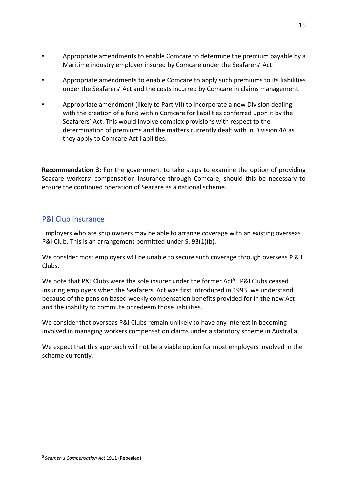- Appropriate amendments to enable Comcare to determine the premium payable by a Maritime industry employer insured by Comcare under the Seafarers' Act.
- Appropriate amendments to enable Comcare to apply such premiums to its liabilities under the Seafarers' Act and the costs incurred by Comcare in claims management.
- Appropriate amendment (likely to Part VII) to incorporate a new Division dealing with the creation of a fund within Comcare for liabilities conferred upon it by the Seafarers' Act. This would involve complex provisions with respect to the determination of premiums and the matters currently dealt with in Division 4A as they apply to Comcare Act liabilities.

**Recommendation 3:** For the government to take steps to examine the option of providing Seacare workers' compensation insurance through Comcare, should this be necessary to ensure the continued operation of Seacare as a national scheme.

## <span id="page-14-0"></span>P&I Club Insurance

Employers who are ship owners may be able to arrange coverage with an existing overseas P&I Club. This is an arrangement permitted under S. 93(1)(b).

We consider most employers will be unable to secure such coverage through overseas P & I Clubs.

We note that P&I Clubs were the sole insurer under the former Act<sup>5</sup>. P&I Clubs ceased insuring employers when the Seafarers' Act was first introduced in 1993, we understand because of the pension based weekly compensation benefits provided for in the new Act and the inability to commute or redeem those liabilities.

We consider that overseas P&I Clubs remain unlikely to have any interest in becoming involved in managing workers compensation claims under a statutory scheme in Australia.

We expect that this approach will not be a viable option for most employers involved in the scheme currently.

<sup>5</sup> *Seamen's Compensation Act* 1911 (Repealed)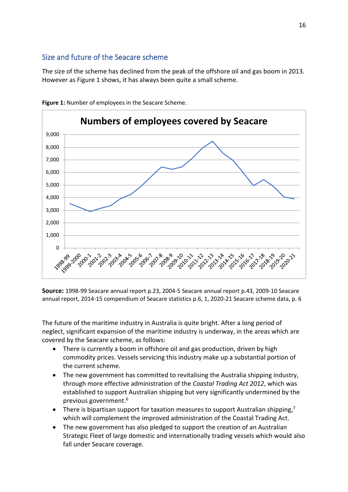# <span id="page-15-0"></span>Size and future of the Seacare scheme

The size of the scheme has declined from the peak of the offshore oil and gas boom in 2013. However as Figure 1 shows, it has always been quite a small scheme.



**Figure 1:** Number of employees in the Seacare Scheme.

**Source:** 1998-99 Seacare annual report p.23, 2004-5 Seacare annual report p.43, 2009-10 Seacare annual report, 2014-15 compendium of Seacare statistics p.6, 1, 2020-21 Seacare scheme data, p. 6

The future of the maritime industry in Australia is quite bright. After a long period of neglect, significant expansion of the maritime industry is underway, in the areas which are covered by the Seacare scheme, as follows:

- There is currently a boom in offshore oil and gas production, driven by high commodity prices. Vessels servicing this industry make up a substantial portion of the current scheme.
- The new government has committed to revitalising the Australia shipping industry, through more effective administration of the *Coastal Trading Act 2012*, which was established to support Australian shipping but very significantly undermined by the previous government.<sup>6</sup>
- There is bipartisan support for taxation measures to support Australian shipping,<sup>7</sup> which will complement the improved administration of the Coastal Trading Act.
- The new government has also pledged to support the creation of an Australian Strategic Fleet of large domestic and internationally trading vessels which would also fall under Seacare coverage.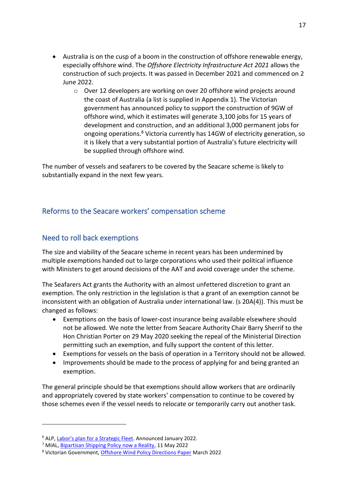- Australia is on the cusp of a boom in the construction of offshore renewable energy, especially offshore wind. The *Offshore Electricity Infrastructure Act 2021* allows the construction of such projects. It was passed in December 2021 and commenced on 2 June 2022.
	- o Over 12 developers are working on over 20 offshore wind projects around the coast of Australia (a list is supplied in Appendix 1). The Victorian government has announced policy to support the construction of 9GW of offshore wind, which it estimates will generate 3,100 jobs for 15 years of development and construction, and an additional 3,000 permanent jobs for ongoing operations.<sup>8</sup> Victoria currently has 14GW of electricity generation, so it is likely that a very substantial portion of Australia's future electricity will be supplied through offshore wind.

The number of vessels and seafarers to be covered by the Seacare scheme is likely to substantially expand in the next few years.

# <span id="page-16-0"></span>Reforms to the Seacare workers' compensation scheme

## <span id="page-16-1"></span>Need to roll back exemptions

The size and viability of the Seacare scheme in recent years has been undermined by multiple exemptions handed out to large corporations who used their political influence with Ministers to get around decisions of the AAT and avoid coverage under the scheme.

The Seafarers Act grants the Authority with an almost unfettered discretion to grant an exemption. The only restriction in the legislation is that a grant of an exemption cannot be inconsistent with an obligation of Australia under international law. (s 20A(4)). This must be changed as follows:

- Exemptions on the basis of lower-cost insurance being available elsewhere should not be allowed. We note the letter from Seacare Authority Chair Barry Sherrif to the Hon Christian Porter on 29 May 2020 seeking the repeal of the Ministerial Direction permitting such an exemption, and fully support the content of this letter.
- Exemptions for vessels on the basis of operation in a Territory should not be allowed.
- Improvements should be made to the process of applying for and being granted an exemption.

The general principle should be that exemptions should allow workers that are ordinarily and appropriately covered by state workers' compensation to continue to be covered by those schemes even if the vessel needs to relocate or temporarily carry out another task.

<sup>&</sup>lt;sup>6</sup> ALP[, Labor's plan for a Strategic Fleet.](https://www.alp.org.au/policies/strategic-fleet) Announced January 2022.

<sup>&</sup>lt;sup>7</sup> MIAL, **Bipartisan Shipping Policy now a Reality**, 11 May 2022

<sup>8</sup> Victorian Government[, Offshore Wind Policy Directions Paper](https://www.energy.vic.gov.au/renewable-energy/offshore-wind) March 2022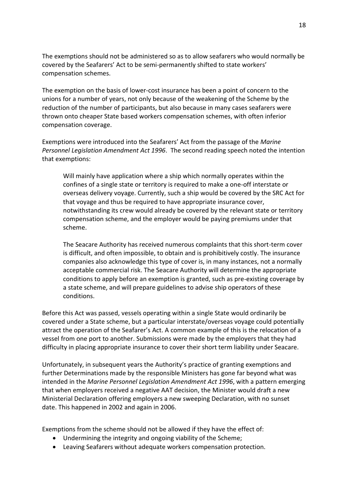The exemptions should not be administered so as to allow seafarers who would normally be covered by the Seafarers' Act to be semi-permanently shifted to state workers' compensation schemes.

The exemption on the basis of lower-cost insurance has been a point of concern to the unions for a number of years, not only because of the weakening of the Scheme by the reduction of the number of participants, but also because in many cases seafarers were thrown onto cheaper State based workers compensation schemes, with often inferior compensation coverage.

Exemptions were introduced into the Seafarers' Act from the passage of the *Marine Personnel Legislation Amendment Act 1996*. The second reading speech noted the intention that exemptions:

Will mainly have application where a ship which normally operates within the confines of a single state or territory is required to make a one-off interstate or overseas delivery voyage. Currently, such a ship would be covered by the SRC Act for that voyage and thus be required to have appropriate insurance cover, notwithstanding its crew would already be covered by the relevant state or territory compensation scheme, and the employer would be paying premiums under that scheme.

The Seacare Authority has received numerous complaints that this short-term cover is difficult, and often impossible, to obtain and is prohibitively costly. The insurance companies also acknowledge this type of cover is, in many instances, not a normally acceptable commercial risk. The Seacare Authority will determine the appropriate conditions to apply before an exemption is granted, such as pre-existing coverage by a state scheme, and will prepare guidelines to advise ship operators of these conditions.

Before this Act was passed, vessels operating within a single State would ordinarily be covered under a State scheme, but a particular interstate/overseas voyage could potentially attract the operation of the Seafarer's Act. A common example of this is the relocation of a vessel from one port to another. Submissions were made by the employers that they had difficulty in placing appropriate insurance to cover their short term liability under Seacare.

Unfortunately, in subsequent years the Authority's practice of granting exemptions and further Determinations made by the responsible Ministers has gone far beyond what was intended in the *Marine Personnel Legislation Amendment Act 1996*, with a pattern emerging that when employers received a negative AAT decision, the Minister would draft a new Ministerial Declaration offering employers a new sweeping Declaration, with no sunset date. This happened in 2002 and again in 2006.

Exemptions from the scheme should not be allowed if they have the effect of:

- Undermining the integrity and ongoing viability of the Scheme;
- Leaving Seafarers without adequate workers compensation protection.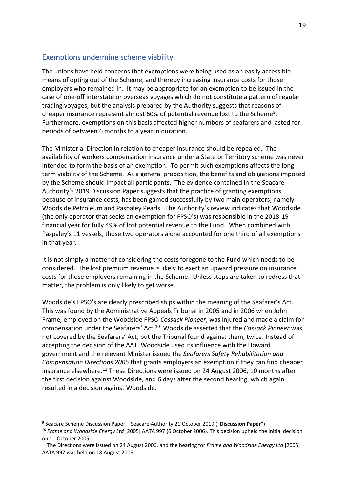## <span id="page-18-0"></span>Exemptions undermine scheme viability

The unions have held concerns that exemptions were being used as an easily accessible means of opting out of the Scheme, and thereby increasing insurance costs for those employers who remained in. It may be appropriate for an exemption to be issued in the case of one-off interstate or overseas voyages which do not constitute a pattern of regular trading voyages, but the analysis prepared by the Authority suggests that reasons of cheaper insurance represent almost 60% of potential revenue lost to the Scheme<sup>9</sup>. Furthermore, exemptions on this basis affected higher numbers of seafarers and lasted for periods of between 6 months to a year in duration.

The Ministerial Direction in relation to cheaper insurance should be repealed. The availability of workers compensation insurance under a State or Territory scheme was never intended to form the basis of an exemption. To permit such exemptions affects the long term viability of the Scheme. As a general proposition, the benefits and obligations imposed by the Scheme should impact all participants. The evidence contained in the Seacare Authority's 2019 Discussion Paper suggests that the practice of granting exemptions because of insurance costs, has been gamed successfully by two main operators; namely Woodside Petroleum and Paspaley Pearls. The Authority's review indicates that Woodside (the only operator that seeks an exemption for FPSO's) was responsible in the 2018-19 financial year for fully 49% of lost potential revenue to the Fund. When combined with Paspaley's 11 vessels, those two operators alone accounted for one third of all exemptions in that year.

It is not simply a matter of considering the costs foregone to the Fund which needs to be considered. The lost premium revenue is likely to exert an upward pressure on insurance costs for those employers remaining in the Scheme. Unless steps are taken to redress that matter, the problem is only likely to get worse.

Woodside's FPSO's are clearly prescribed ships within the meaning of the Seafarer's Act. This was found by the Administrative Appeals Tribunal in 2005 and in 2006 when John Frame, employed on the Woodside FPSO *Cossack Pioneer*, was injured and made a claim for compensation under the Seafarers' Act. 10 Woodside asserted that the *Cossack Pioneer* was not covered by the Seafarers' Act, but the Tribunal found against them, twice. Instead of accepting the decision of the AAT, Woodside used its influence with the Howard government and the relevant Minister issued the *Seafarers Safety Rehabilitation and Compensation Directions 2006* that grants employers an exemption if they can find cheaper insurance elsewhere.<sup>11</sup> These Directions were issued on 24 August 2006, 10 months after the first decision against Woodside, and 6 days after the second hearing, which again resulted in a decision against Woodside.

<sup>9</sup> Seacare Scheme Discussion Paper – Seacare Authority 21 October 2019 ("**Discussion Paper**")

*<sup>10</sup> Frame and Woodside Energy Ltd* [2005] AATA 997 (6 October 2006). This decision upheld the initial decision on 11 October 2005.

<sup>11</sup> The Directions were issued on 24 August 2006, and the hearing for *Frame and Woodside Energy Ltd* [2005] AATA 997 was held on 18 August 2006.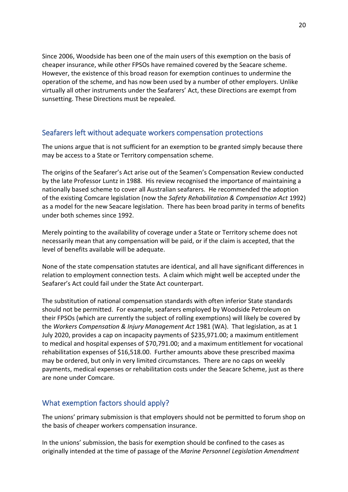Since 2006, Woodside has been one of the main users of this exemption on the basis of cheaper insurance, while other FPSOs have remained covered by the Seacare scheme. However, the existence of this broad reason for exemption continues to undermine the operation of the scheme, and has now been used by a number of other employers. Unlike virtually all other instruments under the Seafarers' Act, these Directions are exempt from sunsetting. These Directions must be repealed.

## <span id="page-19-0"></span>Seafarers left without adequate workers compensation protections

The unions argue that is not sufficient for an exemption to be granted simply because there may be access to a State or Territory compensation scheme.

The origins of the Seafarer's Act arise out of the Seamen's Compensation Review conducted by the late Professor Luntz in 1988. His review recognised the importance of maintaining a nationally based scheme to cover all Australian seafarers. He recommended the adoption of the existing Comcare legislation (now the *Safety Rehabilitation & Compensation Act* 1992) as a model for the new Seacare legislation. There has been broad parity in terms of benefits under both schemes since 1992.

Merely pointing to the availability of coverage under a State or Territory scheme does not necessarily mean that any compensation will be paid, or if the claim is accepted, that the level of benefits available will be adequate.

None of the state compensation statutes are identical, and all have significant differences in relation to employment connection tests. A claim which might well be accepted under the Seafarer's Act could fail under the State Act counterpart.

The substitution of national compensation standards with often inferior State standards should not be permitted. For example, seafarers employed by Woodside Petroleum on their FPSOs (which are currently the subject of rolling exemptions) will likely be covered by the *Workers Compensation & Injury Management Act* 1981 (WA). That legislation, as at 1 July 2020, provides a cap on incapacity payments of \$235,971.00; a maximum entitlement to medical and hospital expenses of \$70,791.00; and a maximum entitlement for vocational rehabilitation expenses of \$16,518.00. Further amounts above these prescribed maxima may be ordered, but only in very limited circumstances. There are no caps on weekly payments, medical expenses or rehabilitation costs under the Seacare Scheme, just as there are none under Comcare.

## <span id="page-19-1"></span>What exemption factors should apply?

The unions' primary submission is that employers should not be permitted to forum shop on the basis of cheaper workers compensation insurance.

In the unions' submission, the basis for exemption should be confined to the cases as originally intended at the time of passage of the *Marine Personnel Legislation Amendment*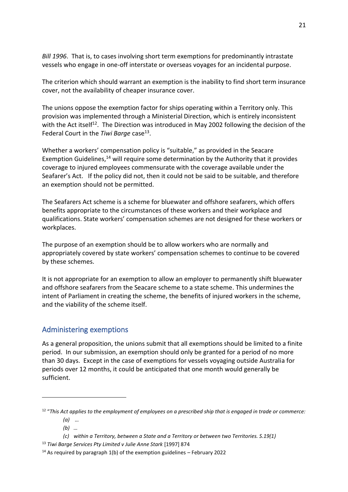*Bill 1996*. That is, to cases involving short term exemptions for predominantly intrastate vessels who engage in one-off interstate or overseas voyages for an incidental purpose.

The criterion which should warrant an exemption is the inability to find short term insurance cover, not the availability of cheaper insurance cover.

The unions oppose the exemption factor for ships operating within a Territory only. This provision was implemented through a Ministerial Direction, which is entirely inconsistent with the Act itself<sup>12</sup>. The Direction was introduced in May 2002 following the decision of the Federal Court in the Tiwi Barge case<sup>13</sup>.

Whether a workers' compensation policy is "suitable," as provided in the Seacare Exemption Guidelines, $14$  will require some determination by the Authority that it provides coverage to injured employees commensurate with the coverage available under the Seafarer's Act. If the policy did not, then it could not be said to be suitable, and therefore an exemption should not be permitted.

The Seafarers Act scheme is a scheme for bluewater and offshore seafarers, which offers benefits appropriate to the circumstances of these workers and their workplace and qualifications. State workers' compensation schemes are not designed for these workers or workplaces.

The purpose of an exemption should be to allow workers who are normally and appropriately covered by state workers' compensation schemes to continue to be covered by these schemes.

It is not appropriate for an exemption to allow an employer to permanently shift bluewater and offshore seafarers from the Seacare scheme to a state scheme. This undermines the intent of Parliament in creating the scheme, the benefits of injured workers in the scheme, and the viability of the scheme itself.

## <span id="page-20-0"></span>Administering exemptions

As a general proposition, the unions submit that all exemptions should be limited to a finite period. In our submission, an exemption should only be granted for a period of no more than 30 days. Except in the case of exemptions for vessels voyaging outside Australia for periods over 12 months, it could be anticipated that one month would generally be sufficient.

<sup>12</sup> "*This Act applies to the employment of employees on a prescribed ship that is engaged in trade or commerce: (a) …*

*<sup>(</sup>b) …*

*<sup>(</sup>c) within a Territory, between a State and a Territory or between two Territories. S.19(1)*

<sup>&</sup>lt;sup>13</sup> Tiwi Barge Services Pty Limited v Julie Anne Stark [1997] 874

<sup>&</sup>lt;sup>14</sup> As required by paragraph 1(b) of the exemption guidelines – February 2022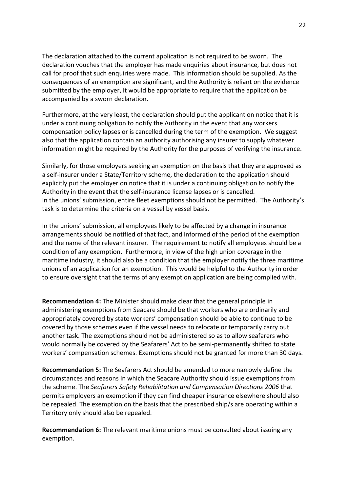The declaration attached to the current application is not required to be sworn. The declaration vouches that the employer has made enquiries about insurance, but does not call for proof that such enquiries were made. This information should be supplied. As the consequences of an exemption are significant, and the Authority is reliant on the evidence submitted by the employer, it would be appropriate to require that the application be accompanied by a sworn declaration.

Furthermore, at the very least, the declaration should put the applicant on notice that it is under a continuing obligation to notify the Authority in the event that any workers compensation policy lapses or is cancelled during the term of the exemption. We suggest also that the application contain an authority authorising any insurer to supply whatever information might be required by the Authority for the purposes of verifying the insurance.

Similarly, for those employers seeking an exemption on the basis that they are approved as a self-insurer under a State/Territory scheme, the declaration to the application should explicitly put the employer on notice that it is under a continuing obligation to notify the Authority in the event that the self-insurance license lapses or is cancelled. In the unions' submission, entire fleet exemptions should not be permitted. The Authority's task is to determine the criteria on a vessel by vessel basis.

In the unions' submission, all employees likely to be affected by a change in insurance arrangements should be notified of that fact, and informed of the period of the exemption and the name of the relevant insurer. The requirement to notify all employees should be a condition of any exemption. Furthermore, in view of the high union coverage in the maritime industry, it should also be a condition that the employer notify the three maritime unions of an application for an exemption. This would be helpful to the Authority in order to ensure oversight that the terms of any exemption application are being complied with.

**Recommendation 4:** The Minister should make clear that the general principle in administering exemptions from Seacare should be that workers who are ordinarily and appropriately covered by state workers' compensation should be able to continue to be covered by those schemes even if the vessel needs to relocate or temporarily carry out another task. The exemptions should not be administered so as to allow seafarers who would normally be covered by the Seafarers' Act to be semi-permanently shifted to state workers' compensation schemes. Exemptions should not be granted for more than 30 days.

**Recommendation 5:** The Seafarers Act should be amended to more narrowly define the circumstances and reasons in which the Seacare Authority should issue exemptions from the scheme. The *Seafarers Safety Rehabilitation and Compensation Directions 2006* that permits employers an exemption if they can find cheaper insurance elsewhere should also be repealed. The exemption on the basis that the prescribed ship/s are operating within a Territory only should also be repealed.

**Recommendation 6:** The relevant maritime unions must be consulted about issuing any exemption.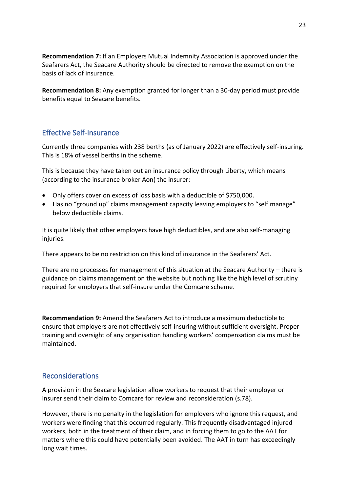**Recommendation 7:** If an Employers Mutual Indemnity Association is approved under the Seafarers Act, the Seacare Authority should be directed to remove the exemption on the basis of lack of insurance.

**Recommendation 8:** Any exemption granted for longer than a 30-day period must provide benefits equal to Seacare benefits.

## <span id="page-22-0"></span>Effective Self-Insurance

Currently three companies with 238 berths (as of January 2022) are effectively self-insuring. This is 18% of vessel berths in the scheme.

This is because they have taken out an insurance policy through Liberty, which means (according to the insurance broker Aon) the insurer:

- Only offers cover on excess of loss basis with a deductible of \$750,000.
- Has no "ground up" claims management capacity leaving employers to "self manage" below deductible claims.

It is quite likely that other employers have high deductibles, and are also self-managing injuries.

There appears to be no restriction on this kind of insurance in the Seafarers' Act.

There are no processes for management of this situation at the Seacare Authority – there is guidance on claims management on the website but nothing like the high level of scrutiny required for employers that self-insure under the Comcare scheme.

**Recommendation 9:** Amend the Seafarers Act to introduce a maximum deductible to ensure that employers are not effectively self-insuring without sufficient oversight. Proper training and oversight of any organisation handling workers' compensation claims must be maintained.

## <span id="page-22-1"></span>Reconsiderations

A provision in the Seacare legislation allow workers to request that their employer or insurer send their claim to Comcare for review and reconsideration (s.78).

However, there is no penalty in the legislation for employers who ignore this request, and workers were finding that this occurred regularly. This frequently disadvantaged injured workers, both in the treatment of their claim, and in forcing them to go to the AAT for matters where this could have potentially been avoided. The AAT in turn has exceedingly long wait times.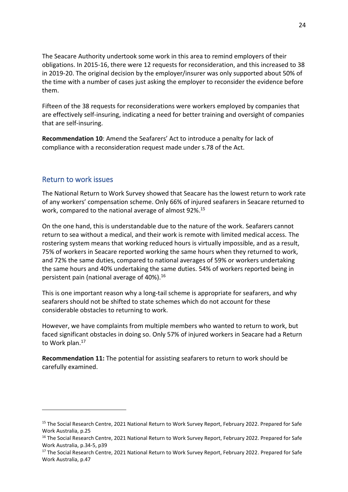The Seacare Authority undertook some work in this area to remind employers of their obligations. In 2015-16, there were 12 requests for reconsideration, and this increased to 38 in 2019-20. The original decision by the employer/insurer was only supported about 50% of the time with a number of cases just asking the employer to reconsider the evidence before them.

Fifteen of the 38 requests for reconsiderations were workers employed by companies that are effectively self-insuring, indicating a need for better training and oversight of companies that are self-insuring.

**Recommendation 10**: Amend the Seafarers' Act to introduce a penalty for lack of compliance with a reconsideration request made under s.78 of the Act.

## <span id="page-23-0"></span>Return to work issues

The National Return to Work Survey showed that Seacare has the lowest return to work rate of any workers' compensation scheme. Only 66% of injured seafarers in Seacare returned to work, compared to the national average of almost 92%. 15

On the one hand, this is understandable due to the nature of the work. Seafarers cannot return to sea without a medical, and their work is remote with limited medical access. The rostering system means that working reduced hours is virtually impossible, and as a result, 75% of workers in Seacare reported working the same hours when they returned to work, and 72% the same duties, compared to national averages of 59% or workers undertaking the same hours and 40% undertaking the same duties. 54% of workers reported being in persistent pain (national average of 40%).<sup>16</sup>

This is one important reason why a long-tail scheme is appropriate for seafarers, and why seafarers should not be shifted to state schemes which do not account for these considerable obstacles to returning to work.

However, we have complaints from multiple members who wanted to return to work, but faced significant obstacles in doing so. Only 57% of injured workers in Seacare had a Return to Work plan.<sup>17</sup>

**Recommendation 11:** The potential for assisting seafarers to return to work should be carefully examined.

<sup>&</sup>lt;sup>15</sup> The Social Research Centre, 2021 National Return to Work Survey Report, February 2022. Prepared for Safe Work Australia, p.25

<sup>&</sup>lt;sup>16</sup> The Social Research Centre, 2021 National Return to Work Survey Report, February 2022. Prepared for Safe Work Australia, p.34-5, p39

<sup>&</sup>lt;sup>17</sup> The Social Research Centre, 2021 National Return to Work Survey Report, February 2022. Prepared for Safe Work Australia, p.47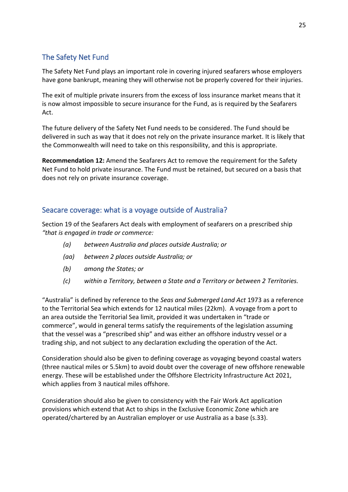# <span id="page-24-0"></span>The Safety Net Fund

The Safety Net Fund plays an important role in covering injured seafarers whose employers have gone bankrupt, meaning they will otherwise not be properly covered for their injuries.

The exit of multiple private insurers from the excess of loss insurance market means that it is now almost impossible to secure insurance for the Fund, as is required by the Seafarers Act.

The future delivery of the Safety Net Fund needs to be considered. The Fund should be delivered in such as way that it does not rely on the private insurance market. It is likely that the Commonwealth will need to take on this responsibility, and this is appropriate.

**Recommendation 12:** Amend the Seafarers Act to remove the requirement for the Safety Net Fund to hold private insurance. The Fund must be retained, but secured on a basis that does not rely on private insurance coverage.

## <span id="page-24-1"></span>Seacare coverage: what is a voyage outside of Australia?

Section 19 of the Seafarers Act deals with employment of seafarers on a prescribed ship *"that is engaged in trade or commerce:*

- *(a) between Australia and places outside Australia; or*
- *(aa) between 2 places outside Australia; or*
- *(b) among the States; or*
- *(c) within a Territory, between a State and a Territory or between 2 Territories.*

"Australia" is defined by reference to the *Seas and Submerged Land Act* 1973 as a reference to the Territorial Sea which extends for 12 nautical miles (22km). A voyage from a port to an area outside the Territorial Sea limit, provided it was undertaken in "trade or commerce", would in general terms satisfy the requirements of the legislation assuming that the vessel was a "prescribed ship" and was either an offshore industry vessel or a trading ship, and not subject to any declaration excluding the operation of the Act.

Consideration should also be given to defining coverage as voyaging beyond coastal waters (three nautical miles or 5.5km) to avoid doubt over the coverage of new offshore renewable energy. These will be established under the Offshore Electricity Infrastructure Act 2021, which applies from 3 nautical miles offshore.

Consideration should also be given to consistency with the Fair Work Act application provisions which extend that Act to ships in the Exclusive Economic Zone which are operated/chartered by an Australian employer or use Australia as a base (s.33).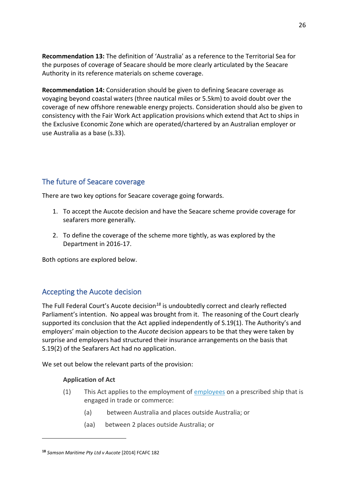**Recommendation 13:** The definition of 'Australia' as a reference to the Territorial Sea for the purposes of coverage of Seacare should be more clearly articulated by the Seacare Authority in its reference materials on scheme coverage.

**Recommendation 14:** Consideration should be given to defining Seacare coverage as voyaging beyond coastal waters (three nautical miles or 5.5km) to avoid doubt over the coverage of new offshore renewable energy projects. Consideration should also be given to consistency with the Fair Work Act application provisions which extend that Act to ships in the Exclusive Economic Zone which are operated/chartered by an Australian employer or use Australia as a base (s.33).

# <span id="page-25-0"></span>The future of Seacare coverage

There are two key options for Seacare coverage going forwards.

- 1. To accept the Aucote decision and have the Seacare scheme provide coverage for seafarers more generally.
- 2. To define the coverage of the scheme more tightly, as was explored by the Department in 2016-17.

Both options are explored below.

## <span id="page-25-1"></span>Accepting the Aucote decision

The Full Federal Court's Aucote decision*<sup>18</sup>* is undoubtedly correct and clearly reflected Parliament's intention. No appeal was brought from it. The reasoning of the Court clearly supported its conclusion that the Act applied independently of S.19(1). The Authority's and employers' main objection to the *Aucote* decision appears to be that they were taken by surprise and employers had structured their insurance arrangements on the basis that S.19(2) of the Seafarers Act had no application.

We set out below the relevant parts of the provision:

#### **Application of Act**

- (1) This Act applies to the employment of  $\frac{employees}{emplevees}$  $\frac{employees}{emplevees}$  $\frac{employees}{emplevees}$  on a prescribed ship that is engaged in trade or commerce:
	- (a) between Australia and places outside Australia; or
	- (aa) between 2 places outside Australia; or

**<sup>18</sup>** *Samson Maritime Pty Ltd v Aucote* [2014] FCAFC 182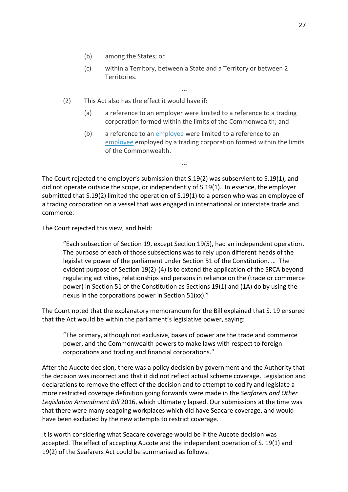- (b) among the States; or
- (c) within a Territory, between a State and a Territory or between 2 Territories.

**…**

- (2) This Act also has the effect it would have if:
	- (a) a reference to an employer were limited to a reference to a trading corporation formed within the limits of the Commonwealth; and
	- (b) a reference to an [employee](http://www8.austlii.edu.au/cgi-bin/viewdoc/au/legis/cth/consol_act/sraca1992381/s4.html#employee) were limited to a reference to an [employee](http://www8.austlii.edu.au/cgi-bin/viewdoc/au/legis/cth/consol_act/sraca1992381/s4.html#employee) employed by a trading corporation formed within the limits of the Commonwealth.

**…**

The Court rejected the employer's submission that S.19(2) was subservient to S.19(1), and did not operate outside the scope, or independently of S.19(1). In essence, the employer submitted that S.19(2) limited the operation of S.19(1) to a person who was an employee of a trading corporation on a vessel that was engaged in international or interstate trade and commerce.

The Court rejected this view, and held:

"Each subsection of Section 19, except Section 19(5), had an independent operation. The purpose of each of those subsections was to rely upon different heads of the legislative power of the parliament under Section 51 of the Constitution. … The evident purpose of Section 19(2)-(4) is to extend the application of the SRCA beyond regulating activities, relationships and persons in reliance on the (trade or commerce power) in Section 51 of the Constitution as Sections 19(1) and (1A) do by using the nexus in the corporations power in Section 51(xx)."

The Court noted that the explanatory memorandum for the Bill explained that S. 19 ensured that the Act would be within the parliament's legislative power, saying:

"The primary, although not exclusive, bases of power are the trade and commerce power, and the Commonwealth powers to make laws with respect to foreign corporations and trading and financial corporations."

After the Aucote decision, there was a policy decision by government and the Authority that the decision was incorrect and that it did not reflect actual scheme coverage. Legislation and declarations to remove the effect of the decision and to attempt to codify and legislate a more restricted coverage definition going forwards were made in the *Seafarers and Other Legislation Amendment Bill* 2016, which ultimately lapsed. Our submissions at the time was that there were many seagoing workplaces which did have Seacare coverage, and would have been excluded by the new attempts to restrict coverage.

It is worth considering what Seacare coverage would be if the Aucote decision was accepted. The effect of accepting Aucote and the independent operation of S. 19(1) and 19(2) of the Seafarers Act could be summarised as follows: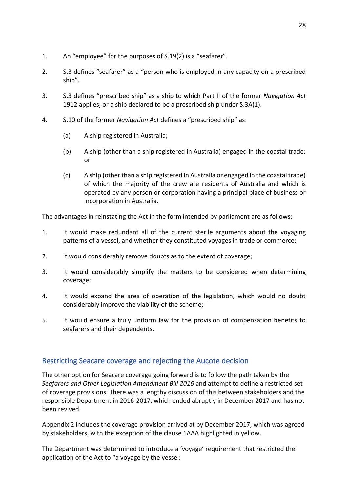- 1. An "employee" for the purposes of S.19(2) is a "seafarer".
- 2. S.3 defines "seafarer" as a "person who is employed in any capacity on a prescribed ship".
- 3. S.3 defines "prescribed ship" as a ship to which Part II of the former *Navigation Act* 1912 applies, or a ship declared to be a prescribed ship under S.3A(1).
- 4. S.10 of the former *Navigation Act* defines a "prescribed ship" as:
	- (a) A ship registered in Australia;
	- (b) A ship (other than a ship registered in Australia) engaged in the coastal trade; or
	- (c) A ship (other than a ship registered in Australia or engaged in the coastal trade) of which the majority of the crew are residents of Australia and which is operated by any person or corporation having a principal place of business or incorporation in Australia.

The advantages in reinstating the Act in the form intended by parliament are as follows:

- 1. It would make redundant all of the current sterile arguments about the voyaging patterns of a vessel, and whether they constituted voyages in trade or commerce;
- 2. It would considerably remove doubts as to the extent of coverage;
- 3. It would considerably simplify the matters to be considered when determining coverage;
- 4. It would expand the area of operation of the legislation, which would no doubt considerably improve the viability of the scheme;
- 5. It would ensure a truly uniform law for the provision of compensation benefits to seafarers and their dependents.

## <span id="page-27-0"></span>Restricting Seacare coverage and rejecting the Aucote decision

The other option for Seacare coverage going forward is to follow the path taken by the *Seafarers and Other Legislation Amendment Bill 2016* and attempt to define a restricted set of coverage provisions. There was a lengthy discussion of this between stakeholders and the responsible Department in 2016-2017, which ended abruptly in December 2017 and has not been revived.

Appendix 2 includes the coverage provision arrived at by December 2017, which was agreed by stakeholders, with the exception of the clause 1AAA highlighted in yellow.

The Department was determined to introduce a 'voyage' requirement that restricted the application of the Act to "a voyage by the vessel: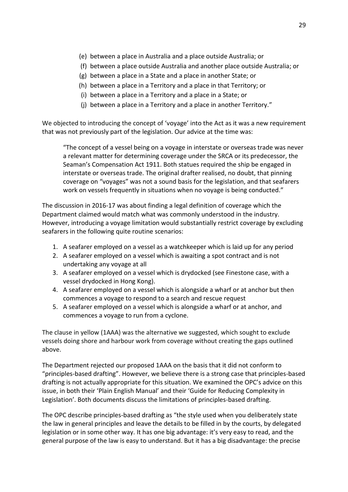- (e) between a place in Australia and a place outside Australia; or
- (f) between a place outside Australia and another place outside Australia; or
- (g) between a place in a State and a place in another State; or
- (h) between a place in a Territory and a place in that Territory; or
- (i) between a place in a Territory and a place in a State; or
- (j) between a place in a Territory and a place in another Territory."

We objected to introducing the concept of 'voyage' into the Act as it was a new requirement that was not previously part of the legislation. Our advice at the time was:

"The concept of a vessel being on a voyage in interstate or overseas trade was never a relevant matter for determining coverage under the SRCA or its predecessor, the Seaman's Compensation Act 1911. Both statues required the ship be engaged in interstate or overseas trade. The original drafter realised, no doubt, that pinning coverage on "voyages" was not a sound basis for the legislation, and that seafarers work on vessels frequently in situations when no voyage is being conducted."

The discussion in 2016-17 was about finding a legal definition of coverage which the Department claimed would match what was commonly understood in the industry. However, introducing a voyage limitation would substantially restrict coverage by excluding seafarers in the following quite routine scenarios:

- 1. A seafarer employed on a vessel as a watchkeeper which is laid up for any period
- 2. A seafarer employed on a vessel which is awaiting a spot contract and is not undertaking any voyage at all
- 3. A seafarer employed on a vessel which is drydocked (see Finestone case, with a vessel drydocked in Hong Kong).
- 4. A seafarer employed on a vessel which is alongside a wharf or at anchor but then commences a voyage to respond to a search and rescue request
- 5. A seafarer employed on a vessel which is alongside a wharf or at anchor, and commences a voyage to run from a cyclone.

The clause in yellow (1AAA) was the alternative we suggested, which sought to exclude vessels doing shore and harbour work from coverage without creating the gaps outlined above.

The Department rejected our proposed 1AAA on the basis that it did not conform to "principles-based drafting". However, we believe there is a strong case that principles-based drafting is not actually appropriate for this situation. We examined the OPC's advice on this issue, in both their 'Plain English Manual' and their 'Guide for Reducing Complexity in Legislation'. Both documents discuss the limitations of principles-based drafting.

The OPC describe principles-based drafting as "the style used when you deliberately state the law in general principles and leave the details to be filled in by the courts, by delegated legislation or in some other way. It has one big advantage: it's very easy to read, and the general purpose of the law is easy to understand. But it has a big disadvantage: the precise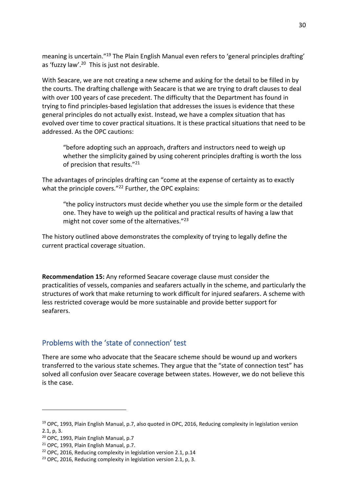meaning is uncertain."<sup>19</sup> The Plain English Manual even refers to 'general principles drafting' as 'fuzzy law'.<sup>20</sup> This is just not desirable.

With Seacare, we are not creating a new scheme and asking for the detail to be filled in by the courts. The drafting challenge with Seacare is that we are trying to draft clauses to deal with over 100 years of case precedent. The difficulty that the Department has found in trying to find principles-based legislation that addresses the issues is evidence that these general principles do not actually exist. Instead, we have a complex situation that has evolved over time to cover practical situations. It is these practical situations that need to be addressed. As the OPC cautions:

"before adopting such an approach, drafters and instructors need to weigh up whether the simplicity gained by using coherent principles drafting is worth the loss of precision that results."<sup>21</sup>

The advantages of principles drafting can "come at the expense of certainty as to exactly what the principle covers."<sup>22</sup> Further, the OPC explains:

"the policy instructors must decide whether you use the simple form or the detailed one. They have to weigh up the political and practical results of having a law that might not cover some of the alternatives."<sup>23</sup>

The history outlined above demonstrates the complexity of trying to legally define the current practical coverage situation.

**Recommendation 15:** Any reformed Seacare coverage clause must consider the practicalities of vessels, companies and seafarers actually in the scheme, and particularly the structures of work that make returning to work difficult for injured seafarers. A scheme with less restricted coverage would be more sustainable and provide better support for seafarers.

## <span id="page-29-0"></span>Problems with the 'state of connection' test

There are some who advocate that the Seacare scheme should be wound up and workers transferred to the various state schemes. They argue that the "state of connection test" has solved all confusion over Seacare coverage between states. However, we do not believe this is the case.

<sup>&</sup>lt;sup>19</sup> OPC, 1993, Plain English Manual, p.7, also quoted in OPC, 2016, Reducing complexity in legislation version 2.1, p, 3.

<sup>20</sup> OPC, 1993, Plain English Manual, p.7

<sup>21</sup> OPC, 1993, Plain English Manual, p.7.

 $22$  OPC, 2016, Reducing complexity in legislation version 2.1, p.14

<sup>&</sup>lt;sup>23</sup> OPC, 2016, Reducing complexity in legislation version 2.1, p, 3.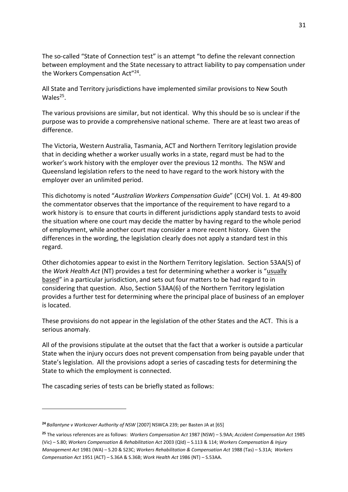The so-called "State of Connection test" is an attempt "to define the relevant connection between employment and the State necessary to attract liability to pay compensation under the Workers Compensation Act"<sup>24</sup>.

All State and Territory jurisdictions have implemented similar provisions to New South Wales<sup>25</sup>.

The various provisions are similar, but not identical. Why this should be so is unclear if the purpose was to provide a comprehensive national scheme. There are at least two areas of difference.

The Victoria, Western Australia, Tasmania, ACT and Northern Territory legislation provide that in deciding whether a worker usually works in a state, regard must be had to the worker's work history with the employer over the previous 12 months. The NSW and Queensland legislation refers to the need to have regard to the work history with the employer over an unlimited period.

This dichotomy is noted "*Australian Workers Compensation Guide*" (CCH) Vol. 1. At 49-800 the commentator observes that the importance of the requirement to have regard to a work history is to ensure that courts in different jurisdictions apply standard tests to avoid the situation where one court may decide the matter by having regard to the whole period of employment, while another court may consider a more recent history. Given the differences in the wording, the legislation clearly does not apply a standard test in this regard.

Other dichotomies appear to exist in the Northern Territory legislation. Section 53AA(5) of the *Work Health Act* (NT) provides a test for determining whether a worker is "usually based" in a particular jurisdiction, and sets out four matters to be had regard to in considering that question. Also, Section 53AA(6) of the Northern Territory legislation provides a further test for determining where the principal place of business of an employer is located.

These provisions do not appear in the legislation of the other States and the ACT. This is a serious anomaly.

All of the provisions stipulate at the outset that the fact that a worker is outside a particular State when the injury occurs does not prevent compensation from being payable under that State's legislation. All the provisions adopt a series of cascading tests for determining the State to which the employment is connected.

The cascading series of tests can be briefly stated as follows:

**<sup>24</sup>** *Ballantyne v Workcover Authority of NSW* [2007] NSWCA 239; per Basten JA at [65]

**<sup>25</sup>** The various references are as follows: *Workers Compensation Act* 1987 (NSW) – S.9AA; *Accident Compensation Act* 1985 (Vic) – S.80; *Workers Compensation & Rehabilitation Act* 2003 (Qld) – S.113 & 114; *Workers Compensation & Injury Management Act* 1981 (WA) – S.20 & S23C; *Workers Rehabilitation & Compensation Act* 1988 (Tas) – S.31A; *Workers Compensation Act* 1951 (ACT) – S.36A & S.36B; *Work Health Act* 1986 (NT) – S.53AA.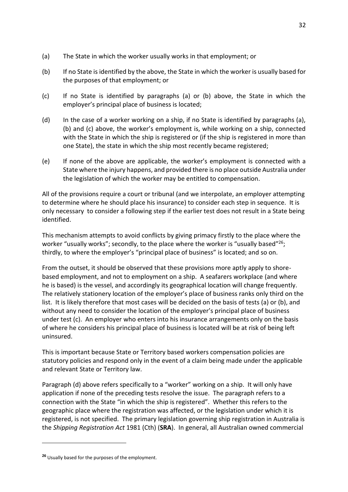- (a) The State in which the worker usually works in that employment; or
- (b) If no State is identified by the above, the State in which the worker is usually based for the purposes of that employment; or
- (c) If no State is identified by paragraphs (a) or (b) above, the State in which the employer's principal place of business is located;
- (d) In the case of a worker working on a ship, if no State is identified by paragraphs (a), (b) and (c) above, the worker's employment is, while working on a ship, connected with the State in which the ship is registered or (if the ship is registered in more than one State), the state in which the ship most recently became registered;
- (e) If none of the above are applicable, the worker's employment is connected with a State where the injury happens, and provided there is no place outside Australia under the legislation of which the worker may be entitled to compensation.

All of the provisions require a court or tribunal (and we interpolate, an employer attempting to determine where he should place his insurance) to consider each step in sequence. It is only necessary to consider a following step if the earlier test does not result in a State being identified.

This mechanism attempts to avoid conflicts by giving primacy firstly to the place where the worker "usually works"; secondly, to the place where the worker is "usually based"<sup>26</sup>; thirdly, to where the employer's "principal place of business" is located; and so on.

From the outset, it should be observed that these provisions more aptly apply to shorebased employment, and not to employment on a ship. A seafarers workplace (and where he is based) is the vessel, and accordingly its geographical location will change frequently. The relatively stationery location of the employer's place of business ranks only third on the list. It is likely therefore that most cases will be decided on the basis of tests (a) or (b), and without any need to consider the location of the employer's principal place of business under test (c). An employer who enters into his insurance arrangements only on the basis of where he considers his principal place of business is located will be at risk of being left uninsured.

This is important because State or Territory based workers compensation policies are statutory policies and respond only in the event of a claim being made under the applicable and relevant State or Territory law.

Paragraph (d) above refers specifically to a "worker" working on a ship. It will only have application if none of the preceding tests resolve the issue. The paragraph refers to a connection with the State "in which the ship is registered". Whether this refers to the geographic place where the registration was affected, or the legislation under which it is registered, is not specified. The primary legislation governing ship registration in Australia is the *Shipping Registration Act* 1981 (Cth) (**SRA**). In general, all Australian owned commercial

<sup>32</sup>

**<sup>26</sup>** Usually based for the purposes of the employment.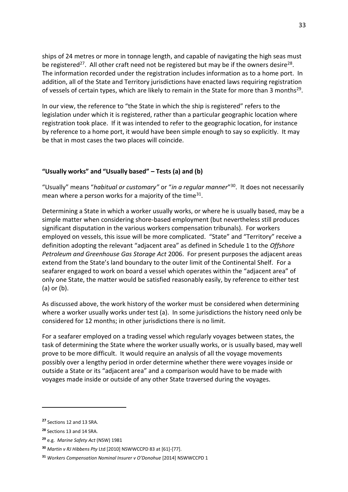ships of 24 metres or more in tonnage length, and capable of navigating the high seas must be registered<sup>27</sup>. All other craft need not be registered but may be if the owners desire<sup>28</sup>. The information recorded under the registration includes information as to a home port. In addition, all of the State and Territory jurisdictions have enacted laws requiring registration of vessels of certain types, which are likely to remain in the State for more than 3 months<sup>29</sup>.

In our view, the reference to "the State in which the ship is registered" refers to the legislation under which it is registered, rather than a particular geographic location where registration took place. If it was intended to refer to the geographic location, for instance by reference to a home port, it would have been simple enough to say so explicitly. It may be that in most cases the two places will coincide.

#### **"Usually works" and "Usually based" – Tests (a) and (b)**

"Usually" means "*habitual or customary"* or "*in a regular manner*" <sup>30</sup>. It does not necessarily mean where a person works for a majority of the time $^{31}$ .

Determining a State in which a worker usually works, or where he is usually based, may be a simple matter when considering shore-based employment (but nevertheless still produces significant disputation in the various workers compensation tribunals). For workers employed on vessels, this issue will be more complicated. "State" and "Territory" receive a definition adopting the relevant "adjacent area" as defined in Schedule 1 to the *Offshore Petroleum and Greenhouse Gas Storage Act* 2006. For present purposes the adjacent areas extend from the State's land boundary to the outer limit of the Continental Shelf. For a seafarer engaged to work on board a vessel which operates within the "adjacent area" of only one State, the matter would be satisfied reasonably easily, by reference to either test (a) or (b).

As discussed above, the work history of the worker must be considered when determining where a worker usually works under test (a). In some jurisdictions the history need only be considered for 12 months; in other jurisdictions there is no limit.

For a seafarer employed on a trading vessel which regularly voyages between states, the task of determining the State where the worker usually works, or is usually based, may well prove to be more difficult. It would require an analysis of all the voyage movements possibly over a lengthy period in order determine whether there were voyages inside or outside a State or its "adjacent area" and a comparison would have to be made with voyages made inside or outside of any other State traversed during the voyages.

**<sup>27</sup>** Sections 12 and 13 SRA.

**<sup>28</sup>** Sections 13 and 14 SRA.

**<sup>29</sup>** e.g. *Marine Safety Act* (NSW) 1981

**<sup>30</sup>** *Martin v RJ Hibbens Pty* Ltd [2010] NSWWCCPD 83 at [61]-[77].

**<sup>31</sup>** *Workers Compensation Nominal Insurer v O'Donohue* [2014] NSWWCCPD 1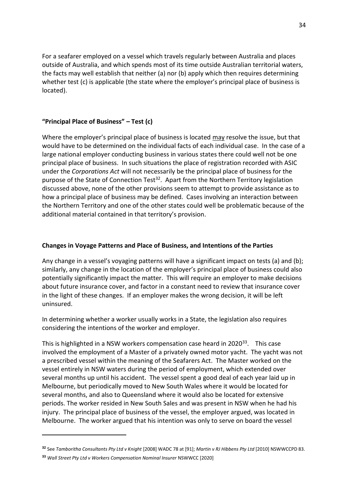For a seafarer employed on a vessel which travels regularly between Australia and places outside of Australia, and which spends most of its time outside Australian territorial waters, the facts may well establish that neither (a) nor (b) apply which then requires determining whether test (c) is applicable (the state where the employer's principal place of business is located).

### **"Principal Place of Business" – Test (c)**

Where the employer's principal place of business is located may resolve the issue, but that would have to be determined on the individual facts of each individual case. In the case of a large national employer conducting business in various states there could well not be one principal place of business. In such situations the place of registration recorded with ASIC under the *Corporations Act* will not necessarily be the principal place of business for the purpose of the State of Connection Test<sup>32</sup>. Apart from the Northern Territory legislation discussed above, none of the other provisions seem to attempt to provide assistance as to how a principal place of business may be defined. Cases involving an interaction between the Northern Territory and one of the other states could well be problematic because of the additional material contained in that territory's provision.

### **Changes in Voyage Patterns and Place of Business, and Intentions of the Parties**

Any change in a vessel's voyaging patterns will have a significant impact on tests (a) and (b); similarly, any change in the location of the employer's principal place of business could also potentially significantly impact the matter. This will require an employer to make decisions about future insurance cover, and factor in a constant need to review that insurance cover in the light of these changes. If an employer makes the wrong decision, it will be left uninsured.

In determining whether a worker usually works in a State, the legislation also requires considering the intentions of the worker and employer.

This is highlighted in a NSW workers compensation case heard in  $2020^{33}$ . This case involved the employment of a Master of a privately owned motor yacht. The yacht was not a prescribed vessel within the meaning of the Seafarers Act. The Master worked on the vessel entirely in NSW waters during the period of employment, which extended over several months up until his accident. The vessel spent a good deal of each year laid up in Melbourne, but periodically moved to New South Wales where it would be located for several months, and also to Queensland where it would also be located for extensive periods. The worker resided in New South Sales and was present in NSW when he had his injury. The principal place of business of the vessel, the employer argued, was located in Melbourne. The worker argued that his intention was only to serve on board the vessel

**<sup>32</sup>** See *Tamboritha Consultants Pty Ltd v Knight* [2008] WADC 78 at [91]; *Martin v RJ Hibbens Pty Ltd* [2010] NSWWCCPD 83.

**<sup>33</sup>** *Wall Street Pty Ltd v Workers Compensation Nominal Insurer* NSWWCC [2020]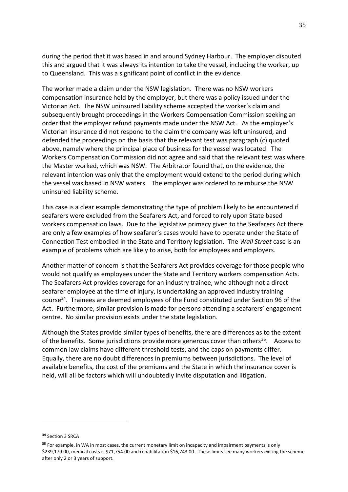during the period that it was based in and around Sydney Harbour. The employer disputed this and argued that it was always its intention to take the vessel, including the worker, up to Queensland. This was a significant point of conflict in the evidence.

The worker made a claim under the NSW legislation. There was no NSW workers compensation insurance held by the employer, but there was a policy issued under the Victorian Act. The NSW uninsured liability scheme accepted the worker's claim and subsequently brought proceedings in the Workers Compensation Commission seeking an order that the employer refund payments made under the NSW Act. As the employer's Victorian insurance did not respond to the claim the company was left uninsured, and defended the proceedings on the basis that the relevant test was paragraph (c) quoted above, namely where the principal place of business for the vessel was located. The Workers Compensation Commission did not agree and said that the relevant test was where the Master worked, which was NSW. The Arbitrator found that, on the evidence, the relevant intention was only that the employment would extend to the period during which the vessel was based in NSW waters. The employer was ordered to reimburse the NSW uninsured liability scheme.

This case is a clear example demonstrating the type of problem likely to be encountered if seafarers were excluded from the Seafarers Act, and forced to rely upon State based workers compensation laws. Due to the legislative primacy given to the Seafarers Act there are only a few examples of how seafarer's cases would have to operate under the State of Connection Test embodied in the State and Territory legislation. The *Wall Street* case is an example of problems which are likely to arise, both for employees and employers.

Another matter of concern is that the Seafarers Act provides coverage for those people who would not qualify as employees under the State and Territory workers compensation Acts. The Seafarers Act provides coverage for an industry trainee, who although not a direct seafarer employee at the time of injury, is undertaking an approved industry training course<sup>34</sup>. Trainees are deemed employees of the Fund constituted under Section 96 of the Act. Furthermore, similar provision is made for persons attending a seafarers' engagement centre. No similar provision exists under the state legislation.

Although the States provide similar types of benefits, there are differences as to the extent of the benefits. Some jurisdictions provide more generous cover than others<sup>35</sup>. Access to common law claims have different threshold tests, and the caps on payments differ. Equally, there are no doubt differences in premiums between jurisdictions. The level of available benefits, the cost of the premiums and the State in which the insurance cover is held, will all be factors which will undoubtedly invite disputation and litigation.

**<sup>34</sup>** Section 3 SRCA

**<sup>35</sup>** For example, in WA in most cases, the current monetary limit on incapacity and impairment payments is only \$239,179.00, medical costs is \$71,754.00 and rehabilitation \$16,743.00. These limits see many workers exiting the scheme after only 2 or 3 years of support.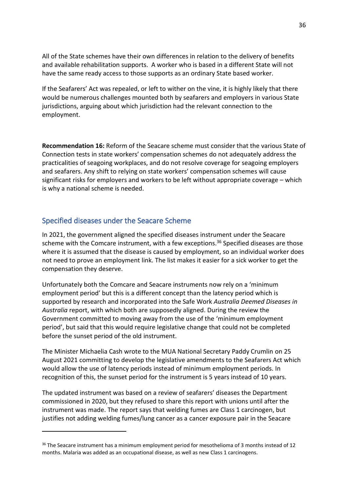All of the State schemes have their own differences in relation to the delivery of benefits and available rehabilitation supports. A worker who is based in a different State will not have the same ready access to those supports as an ordinary State based worker.

If the Seafarers' Act was repealed, or left to wither on the vine, it is highly likely that there would be numerous challenges mounted both by seafarers and employers in various State jurisdictions, arguing about which jurisdiction had the relevant connection to the employment.

**Recommendation 16:** Reform of the Seacare scheme must consider that the various State of Connection tests in state workers' compensation schemes do not adequately address the practicalities of seagoing workplaces, and do not resolve coverage for seagoing employers and seafarers. Any shift to relying on state workers' compensation schemes will cause significant risks for employers and workers to be left without appropriate coverage – which is why a national scheme is needed.

## <span id="page-35-0"></span>Specified diseases under the Seacare Scheme

In 2021, the government aligned the specified diseases instrument under the Seacare scheme with the Comcare instrument, with a few exceptions. <sup>36</sup> Specified diseases are those where it is assumed that the disease is caused by employment, so an individual worker does not need to prove an employment link. The list makes it easier for a sick worker to get the compensation they deserve.

Unfortunately both the Comcare and Seacare instruments now rely on a 'minimum employment period' but this is a different concept than the latency period which is supported by research and incorporated into the Safe Work *Australia Deemed Diseases in Australia* report, with which both are supposedly aligned. During the review the Government committed to moving away from the use of the 'minimum employment period', but said that this would require legislative change that could not be completed before the sunset period of the old instrument.

The Minister Michaelia Cash wrote to the MUA National Secretary Paddy Crumlin on 25 August 2021 committing to develop the legislative amendments to the Seafarers Act which would allow the use of latency periods instead of minimum employment periods. In recognition of this, the sunset period for the instrument is 5 years instead of 10 years.

The updated instrument was based on a review of seafarers' diseases the Department commissioned in 2020, but they refused to share this report with unions until after the instrument was made. The report says that welding fumes are Class 1 carcinogen, but justifies not adding welding fumes/lung cancer as a cancer exposure pair in the Seacare

<sup>&</sup>lt;sup>36</sup> The Seacare instrument has a minimum employment period for mesothelioma of 3 months instead of 12 months. Malaria was added as an occupational disease, as well as new Class 1 carcinogens.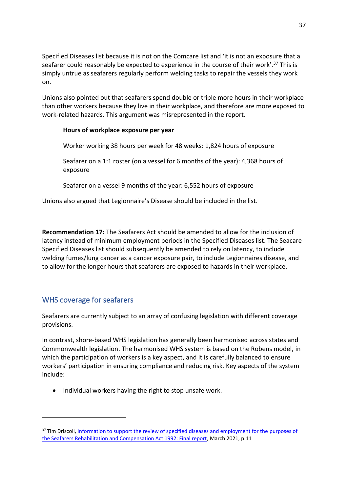Specified Diseases list because it is not on the Comcare list and 'it is not an exposure that a seafarer could reasonably be expected to experience in the course of their work'.<sup>37</sup> This is simply untrue as seafarers regularly perform welding tasks to repair the vessels they work on.

Unions also pointed out that seafarers spend double or triple more hours in their workplace than other workers because they live in their workplace, and therefore are more exposed to work-related hazards. This argument was misrepresented in the report.

### **Hours of workplace exposure per year**

Worker working 38 hours per week for 48 weeks: 1,824 hours of exposure

Seafarer on a 1:1 roster (on a vessel for 6 months of the year): 4,368 hours of exposure

Seafarer on a vessel 9 months of the year: 6,552 hours of exposure

Unions also argued that Legionnaire's Disease should be included in the list.

**Recommendation 17:** The Seafarers Act should be amended to allow for the inclusion of latency instead of minimum employment periods in the Specified Diseases list. The Seacare Specified Diseases list should subsequently be amended to rely on latency, to include welding fumes/lung cancer as a cancer exposure pair, to include Legionnaires disease, and to allow for the longer hours that seafarers are exposed to hazards in their workplace.

## <span id="page-36-0"></span>WHS coverage for seafarers

Seafarers are currently subject to an array of confusing legislation with different coverage provisions.

In contrast, shore-based WHS legislation has generally been harmonised across states and Commonwealth legislation. The harmonised WHS system is based on the Robens model, in which the participation of workers is a key aspect, and it is carefully balanced to ensure workers' participation in ensuring compliance and reducing risk. Key aspects of the system include:

• Individual workers having the right to stop unsafe work.

<sup>&</sup>lt;sup>37</sup> Tim Driscoll, Information to support the review of specified diseases and employment for the purposes of [the Seafarers Rehabilitation and Compensation Act 1992: Final report,](https://www.ag.gov.au/sites/default/files/2021-05/deemed_diseases_final_report.PDF) March 2021, p.11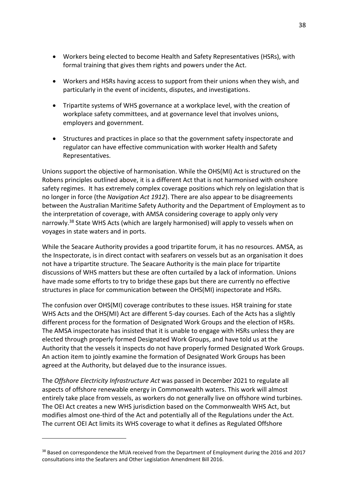- Workers being elected to become Health and Safety Representatives (HSRs), with formal training that gives them rights and powers under the Act.
- Workers and HSRs having access to support from their unions when they wish, and particularly in the event of incidents, disputes, and investigations.
- Tripartite systems of WHS governance at a workplace level, with the creation of workplace safety committees, and at governance level that involves unions, employers and government.
- Structures and practices in place so that the government safety inspectorate and regulator can have effective communication with worker Health and Safety Representatives.

Unions support the objective of harmonisation. While the OHS(MI) Act is structured on the Robens principles outlined above, it is a different Act that is not harmonised with onshore safety regimes. It has extremely complex coverage positions which rely on legislation that is no longer in force (the *Navigation Act 1912*). There are also appear to be disagreements between the Australian Maritime Safety Authority and the Department of Employment as to the interpretation of coverage, with AMSA considering coverage to apply only very narrowly.<sup>38</sup> State WHS Acts (which are largely harmonised) will apply to vessels when on voyages in state waters and in ports.

While the Seacare Authority provides a good tripartite forum, it has no resources. AMSA, as the Inspectorate, is in direct contact with seafarers on vessels but as an organisation it does not have a tripartite structure. The Seacare Authority is the main place for tripartite discussions of WHS matters but these are often curtailed by a lack of information. Unions have made some efforts to try to bridge these gaps but there are currently no effective structures in place for communication between the OHS(MI) inspectorate and HSRs.

The confusion over OHS(MI) coverage contributes to these issues. HSR training for state WHS Acts and the OHS(MI) Act are different 5-day courses. Each of the Acts has a slightly different process for the formation of Designated Work Groups and the election of HSRs. The AMSA inspectorate has insisted that it is unable to engage with HSRs unless they are elected through properly formed Designated Work Groups, and have told us at the Authority that the vessels it inspects do not have properly formed Designated Work Groups. An action item to jointly examine the formation of Designated Work Groups has been agreed at the Authority, but delayed due to the insurance issues.

The *Offshore Electricity Infrastructure Act* was passed in December 2021 to regulate all aspects of offshore renewable energy in Commonwealth waters. This work will almost entirely take place from vessels, as workers do not generally live on offshore wind turbines. The OEI Act creates a new WHS jurisdiction based on the Commonwealth WHS Act, but modifies almost one-third of the Act and potentially all of the Regulations under the Act. The current OEI Act limits its WHS coverage to what it defines as Regulated Offshore

<sup>&</sup>lt;sup>38</sup> Based on correspondence the MUA received from the Department of Employment during the 2016 and 2017 consultations into the Seafarers and Other Legislation Amendment Bill 2016.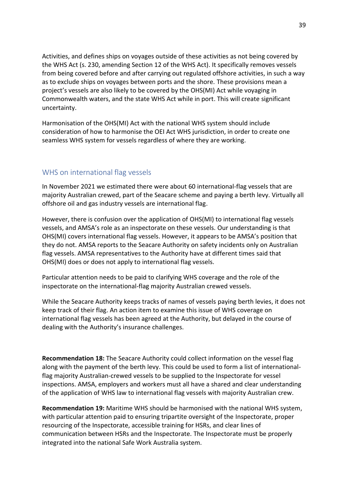Activities, and defines ships on voyages outside of these activities as not being covered by the WHS Act (s. 230, amending Section 12 of the WHS Act). It specifically removes vessels from being covered before and after carrying out regulated offshore activities, in such a way as to exclude ships on voyages between ports and the shore. These provisions mean a project's vessels are also likely to be covered by the OHS(MI) Act while voyaging in Commonwealth waters, and the state WHS Act while in port. This will create significant uncertainty.

Harmonisation of the OHS(MI) Act with the national WHS system should include consideration of how to harmonise the OEI Act WHS jurisdiction, in order to create one seamless WHS system for vessels regardless of where they are working.

## <span id="page-38-0"></span>WHS on international flag vessels

In November 2021 we estimated there were about 60 international-flag vessels that are majority Australian crewed, part of the Seacare scheme and paying a berth levy. Virtually all offshore oil and gas industry vessels are international flag.

However, there is confusion over the application of OHS(MI) to international flag vessels vessels, and AMSA's role as an inspectorate on these vessels. Our understanding is that OHS(MI) covers international flag vessels. However, it appears to be AMSA's position that they do not. AMSA reports to the Seacare Authority on safety incidents only on Australian flag vessels. AMSA representatives to the Authority have at different times said that OHS(MI) does or does not apply to international flag vessels.

Particular attention needs to be paid to clarifying WHS coverage and the role of the inspectorate on the international-flag majority Australian crewed vessels.

While the Seacare Authority keeps tracks of names of vessels paying berth levies, it does not keep track of their flag. An action item to examine this issue of WHS coverage on international flag vessels has been agreed at the Authority, but delayed in the course of dealing with the Authority's insurance challenges.

**Recommendation 18:** The Seacare Authority could collect information on the vessel flag along with the payment of the berth levy. This could be used to form a list of internationalflag majority Australian-crewed vessels to be supplied to the Inspectorate for vessel inspections. AMSA, employers and workers must all have a shared and clear understanding of the application of WHS law to international flag vessels with majority Australian crew.

**Recommendation 19:** Maritime WHS should be harmonised with the national WHS system, with particular attention paid to ensuring tripartite oversight of the Inspectorate, proper resourcing of the Inspectorate, accessible training for HSRs, and clear lines of communication between HSRs and the Inspectorate. The Inspectorate must be properly integrated into the national Safe Work Australia system.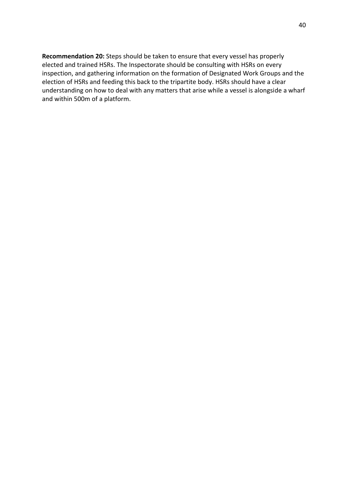**Recommendation 20:** Steps should be taken to ensure that every vessel has properly elected and trained HSRs. The Inspectorate should be consulting with HSRs on every inspection, and gathering information on the formation of Designated Work Groups and the election of HSRs and feeding this back to the tripartite body. HSRs should have a clear understanding on how to deal with any matters that arise while a vessel is alongside a wharf and within 500m of a platform.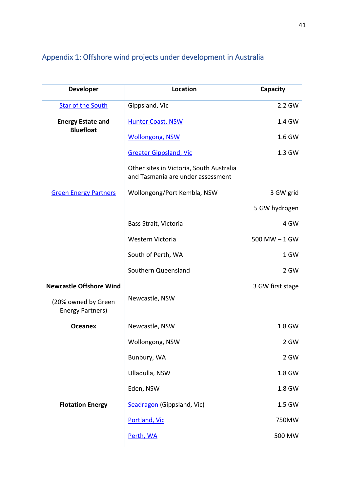| <b>Developer</b>                             | Location                                                                      | Capacity         |
|----------------------------------------------|-------------------------------------------------------------------------------|------------------|
| <b>Star of the South</b>                     | Gippsland, Vic                                                                | 2.2 GW           |
| <b>Energy Estate and</b><br><b>Bluefloat</b> | <b>Hunter Coast, NSW</b>                                                      | 1.4 GW           |
|                                              | <b>Wollongong, NSW</b>                                                        | 1.6 GW           |
|                                              | <b>Greater Gippsland, Vic</b>                                                 | 1.3 GW           |
|                                              | Other sites in Victoria, South Australia<br>and Tasmania are under assessment |                  |
| <b>Green Energy Partners</b>                 | Wollongong/Port Kembla, NSW                                                   | 3 GW grid        |
|                                              |                                                                               | 5 GW hydrogen    |
|                                              | Bass Strait, Victoria                                                         | 4 GW             |
|                                              | Western Victoria                                                              | $500$ MW $-1$ GW |
|                                              | South of Perth, WA                                                            | 1 GW             |
|                                              | Southern Queensland                                                           | 2 GW             |
| <b>Newcastle Offshore Wind</b>               |                                                                               | 3 GW first stage |
| (20% owned by Green<br>Energy Partners)      | Newcastle, NSW                                                                |                  |
| <b>Oceanex</b>                               | Newcastle, NSW                                                                | 1.8 GW           |
|                                              | Wollongong, NSW                                                               | 2 GW             |
|                                              | Bunbury, WA                                                                   | 2 GW             |
|                                              | Ulladulla, NSW                                                                | 1.8 GW           |
|                                              | Eden, NSW                                                                     | 1.8 GW           |
| <b>Flotation Energy</b>                      | Seadragon (Gippsland, Vic)                                                    | 1.5 GW           |
|                                              | Portland, Vic                                                                 | 750MW            |
|                                              | Perth, WA                                                                     | 500 MW           |

# <span id="page-40-0"></span>Appendix 1: Offshore wind projects under development in Australia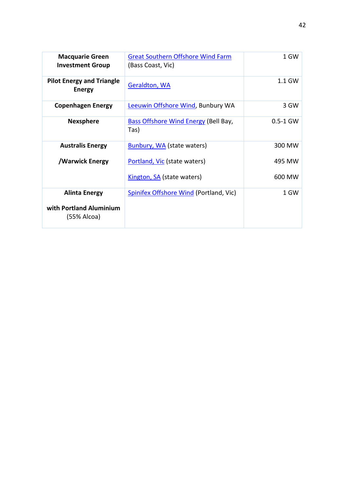| <b>Macquarie Green</b><br><b>Investment Group</b> | <b>Great Southern Offshore Wind Farm</b><br>(Bass Coast, Vic) | 1 GW         |
|---------------------------------------------------|---------------------------------------------------------------|--------------|
| <b>Pilot Energy and Triangle</b><br><b>Energy</b> | <b>Geraldton, WA</b>                                          | 1.1 GW       |
| <b>Copenhagen Energy</b>                          | Leeuwin Offshore Wind, Bunbury WA                             | 3 GW         |
| <b>Nexsphere</b>                                  | <b>Bass Offshore Wind Energy (Bell Bay,</b><br>Tas)           | $0.5 - 1$ GW |
| <b>Australis Energy</b>                           | <b>Bunbury, WA (state waters)</b>                             | 300 MW       |
| /Warwick Energy                                   | Portland, Vic (state waters)                                  | 495 MW       |
|                                                   | Kington, SA (state waters)                                    | 600 MW       |
| <b>Alinta Energy</b>                              | <b>Spinifex Offshore Wind (Portland, Vic)</b>                 | 1 GW         |
| with Portland Aluminium<br>(55% Alcoa)            |                                                               |              |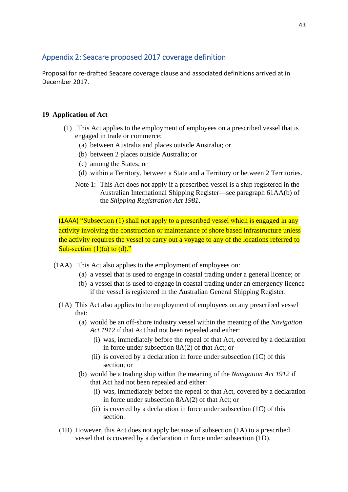## <span id="page-42-0"></span>Appendix 2: Seacare proposed 2017 coverage definition

Proposal for re-drafted Seacare coverage clause and associated definitions arrived at in December 2017.

## **19 Application of Act**

- (1) This Act applies to the employment of employees on a prescribed vessel that is engaged in trade or commerce:
	- (a) between Australia and places outside Australia; or
	- (b) between 2 places outside Australia; or
	- (c) among the States; or
	- (d) within a Territory, between a State and a Territory or between 2 Territories.
	- Note 1: This Act does not apply if a prescribed vessel is a ship registered in the Australian International Shipping Register—see paragraph 61AA(b) of the *Shipping Registration Act 1981*.

(1AAA) "Subsection (1) shall not apply to a prescribed vessel which is engaged in any activity involving the construction or maintenance of shore based infrastructure unless the activity requires the vessel to carry out a voyage to any of the locations referred to Sub-section  $(1)(a)$  to  $(d)$ ."

- (1AA) This Act also applies to the employment of employees on:
	- (a) a vessel that is used to engage in coastal trading under a general licence; or
	- (b) a vessel that is used to engage in coastal trading under an emergency licence if the vessel is registered in the Australian General Shipping Register.
	- (1A) This Act also applies to the employment of employees on any prescribed vessel that:
		- (a) would be an off-shore industry vessel within the meaning of the *Navigation Act 1912* if that Act had not been repealed and either:
			- (i) was, immediately before the repeal of that Act, covered by a declaration in force under subsection 8A(2) of that Act; or
			- (ii) is covered by a declaration in force under subsection  $(1C)$  of this section; or
		- (b) would be a trading ship within the meaning of the *Navigation Act 1912* if that Act had not been repealed and either:
			- (i) was, immediately before the repeal of that Act, covered by a declaration in force under subsection 8AA(2) of that Act; or
			- (ii) is covered by a declaration in force under subsection  $(1C)$  of this section.
	- (1B) However, this Act does not apply because of subsection (1A) to a prescribed vessel that is covered by a declaration in force under subsection (1D).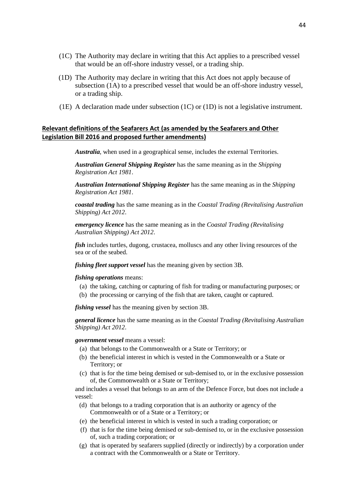- (1C) The Authority may declare in writing that this Act applies to a prescribed vessel that would be an off-shore industry vessel, or a trading ship.
- (1D) The Authority may declare in writing that this Act does not apply because of subsection (1A) to a prescribed vessel that would be an off-shore industry vessel, or a trading ship.
- (1E) A declaration made under subsection  $(1C)$  or  $(1D)$  is not a legislative instrument.

#### **Relevant definitions of the Seafarers Act (as amended by the Seafarers and Other Legislation Bill 2016 and proposed further amendments)**

*Australia*, when used in a geographical sense, includes the external Territories.

*Australian General Shipping Register* has the same meaning as in the *Shipping Registration Act 1981*.

*Australian International Shipping Register* has the same meaning as in the *Shipping Registration Act 1981*.

*coastal trading* has the same meaning as in the *Coastal Trading (Revitalising Australian Shipping) Act 2012*.

*emergency licence* has the same meaning as in the *Coastal Trading (Revitalising Australian Shipping) Act 2012*.

*fish* includes turtles, dugong, crustacea, molluscs and any other living resources of the sea or of the seabed.

*fishing fleet support vessel* has the meaning given by section 3B.

#### *fishing operations* means:

- (a) the taking, catching or capturing of fish for trading or manufacturing purposes; or
- (b) the processing or carrying of the fish that are taken, caught or captured.

*fishing vessel* has the meaning given by section 3B.

*general licence* has the same meaning as in the *Coastal Trading (Revitalising Australian Shipping) Act 2012*.

#### *government vessel* means a vessel:

- (a) that belongs to the Commonwealth or a State or Territory; or
- (b) the beneficial interest in which is vested in the Commonwealth or a State or Territory; or
- (c) that is for the time being demised or sub-demised to, or in the exclusive possession of, the Commonwealth or a State or Territory;

and includes a vessel that belongs to an arm of the Defence Force, but does not include a vessel:

- (d) that belongs to a trading corporation that is an authority or agency of the Commonwealth or of a State or a Territory; or
- (e) the beneficial interest in which is vested in such a trading corporation; or
- (f) that is for the time being demised or sub-demised to, or in the exclusive possession of, such a trading corporation; or
- (g) that is operated by seafarers supplied (directly or indirectly) by a corporation under a contract with the Commonwealth or a State or Territory.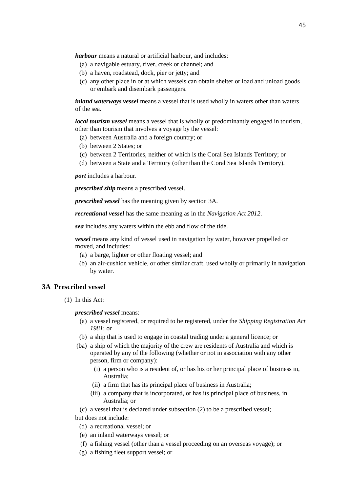*harbour* means a natural or artificial harbour, and includes:

- (a) a navigable estuary, river, creek or channel; and
- (b) a haven, roadstead, dock, pier or jetty; and
- (c) any other place in or at which vessels can obtain shelter or load and unload goods or embark and disembark passengers.

*inland waterways vessel* means a vessel that is used wholly in waters other than waters of the sea.

*local tourism vessel* means a vessel that is wholly or predominantly engaged in tourism, other than tourism that involves a voyage by the vessel:

- (a) between Australia and a foreign country; or
- (b) between 2 States; or
- (c) between 2 Territories, neither of which is the Coral Sea Islands Territory; or
- (d) between a State and a Territory (other than the Coral Sea Islands Territory).

*port* includes a harbour.

*prescribed ship* means a prescribed vessel.

*prescribed vessel* has the meaning given by section 3A.

*recreational vessel* has the same meaning as in the *Navigation Act 2012*.

*sea* includes any waters within the ebb and flow of the tide.

*vessel* means any kind of vessel used in navigation by water, however propelled or moved, and includes:

- (a) a barge, lighter or other floating vessel; and
- (b) an air-cushion vehicle, or other similar craft, used wholly or primarily in navigation by water.

#### **3A Prescribed vessel**

(1) In this Act:

#### *prescribed vessel* means:

- (a) a vessel registered, or required to be registered, under the *Shipping Registration Act 1981*; or
- (b) a ship that is used to engage in coastal trading under a general licence; or
- (ba) a ship of which the majority of the crew are residents of Australia and which is operated by any of the following (whether or not in association with any other person, firm or company):
	- (i) a person who is a resident of, or has his or her principal place of business in, Australia;
	- (ii) a firm that has its principal place of business in Australia;
	- (iii) a company that is incorporated, or has its principal place of business, in Australia; or
- (c) a vessel that is declared under subsection (2) to be a prescribed vessel;

but does not include:

- (d) a recreational vessel; or
- (e) an inland waterways vessel; or
- (f) a fishing vessel (other than a vessel proceeding on an overseas voyage); or
- (g) a fishing fleet support vessel; or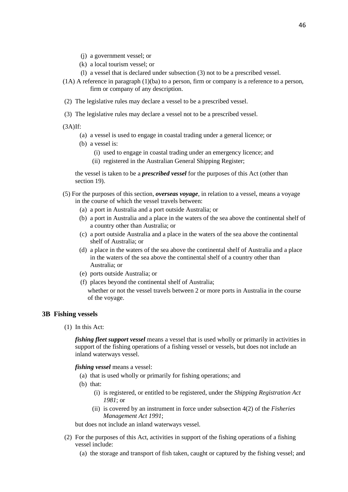- (j) a government vessel; or
- (k) a local tourism vessel; or
- (l) a vessel that is declared under subsection (3) not to be a prescribed vessel.
- (1A) A reference in paragraph (1)(ba) to a person, firm or company is a reference to a person, firm or company of any description.
- (2) The legislative rules may declare a vessel to be a prescribed vessel.
- (3) The legislative rules may declare a vessel not to be a prescribed vessel.
- (3A)If:
	- (a) a vessel is used to engage in coastal trading under a general licence; or
	- (b) a vessel is:
		- (i) used to engage in coastal trading under an emergency licence; and
		- (ii) registered in the Australian General Shipping Register;

the vessel is taken to be a *prescribed vessel* for the purposes of this Act (other than section 19).

- (5) For the purposes of this section, *overseas voyage*, in relation to a vessel, means a voyage in the course of which the vessel travels between:
	- (a) a port in Australia and a port outside Australia; or
	- (b) a port in Australia and a place in the waters of the sea above the continental shelf of a country other than Australia; or
	- (c) a port outside Australia and a place in the waters of the sea above the continental shelf of Australia; or
	- (d) a place in the waters of the sea above the continental shelf of Australia and a place in the waters of the sea above the continental shelf of a country other than Australia; or
	- (e) ports outside Australia; or
	- (f) places beyond the continental shelf of Australia;
		- whether or not the vessel travels between 2 or more ports in Australia in the course of the voyage.

#### **3B Fishing vessels**

(1) In this Act:

*fishing fleet support vessel* means a vessel that is used wholly or primarily in activities in support of the fishing operations of a fishing vessel or vessels, but does not include an inland waterways vessel.

#### *fishing vessel* means a vessel:

- (a) that is used wholly or primarily for fishing operations; and
- (b) that:
	- (i) is registered, or entitled to be registered, under the *Shipping Registration Act 1981*; or
	- (ii) is covered by an instrument in force under subsection 4(2) of the *Fisheries Management Act 1991*;

but does not include an inland waterways vessel.

- (2) For the purposes of this Act, activities in support of the fishing operations of a fishing vessel include:
	- (a) the storage and transport of fish taken, caught or captured by the fishing vessel; and